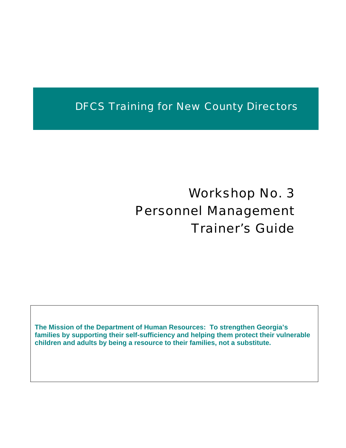## DFCS Training for New County Directors

# Workshop No. 3 Personnel Management Trainer's Guide

**The Mission of the Department of Human Resources: To strengthen Georgia's families by supporting their self-sufficiency and helping them protect their vulnerable children and adults by being a resource to their families, not a substitute.**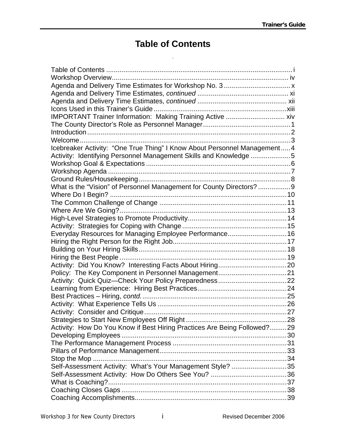## **Table of Contents**

`

<span id="page-1-0"></span>

| IMPORTANT Trainer Information: Making Training Active  xiv                |  |
|---------------------------------------------------------------------------|--|
|                                                                           |  |
|                                                                           |  |
|                                                                           |  |
| Icebreaker Activity: "One True Thing" I Know About Personnel Management 4 |  |
| Activity: Identifying Personnel Management Skills and Knowledge 5         |  |
|                                                                           |  |
|                                                                           |  |
|                                                                           |  |
| What is the "Vision" of Personnel Management for County Directors?  9     |  |
|                                                                           |  |
|                                                                           |  |
|                                                                           |  |
|                                                                           |  |
|                                                                           |  |
| Everyday Resources for Managing Employee Performance 16                   |  |
|                                                                           |  |
|                                                                           |  |
|                                                                           |  |
|                                                                           |  |
|                                                                           |  |
|                                                                           |  |
|                                                                           |  |
|                                                                           |  |
|                                                                           |  |
|                                                                           |  |
|                                                                           |  |
| Activity: How Do You Know if Best Hiring Practices Are Being Followed?29  |  |
|                                                                           |  |
|                                                                           |  |
|                                                                           |  |
|                                                                           |  |
| Self-Assessment Activity: What's Your Management Style? 35                |  |
|                                                                           |  |
|                                                                           |  |
|                                                                           |  |
|                                                                           |  |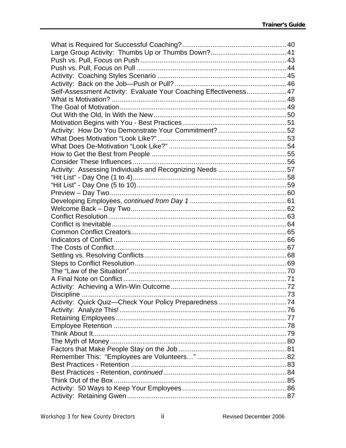| Self-Assessment Activity: Evaluate Your Coaching Effectiveness47 |  |
|------------------------------------------------------------------|--|
|                                                                  |  |
|                                                                  |  |
|                                                                  |  |
|                                                                  |  |
|                                                                  |  |
|                                                                  |  |
|                                                                  |  |
|                                                                  |  |
|                                                                  |  |
| Activity: Assessing Individuals and Recognizing Needs 57         |  |
|                                                                  |  |
|                                                                  |  |
|                                                                  |  |
|                                                                  |  |
|                                                                  |  |
|                                                                  |  |
|                                                                  |  |
|                                                                  |  |
|                                                                  |  |
|                                                                  |  |
|                                                                  |  |
|                                                                  |  |
|                                                                  |  |
|                                                                  |  |
|                                                                  |  |
|                                                                  |  |
|                                                                  |  |
|                                                                  |  |
|                                                                  |  |
|                                                                  |  |
|                                                                  |  |
|                                                                  |  |
|                                                                  |  |
|                                                                  |  |
|                                                                  |  |
|                                                                  |  |
|                                                                  |  |
|                                                                  |  |
|                                                                  |  |
|                                                                  |  |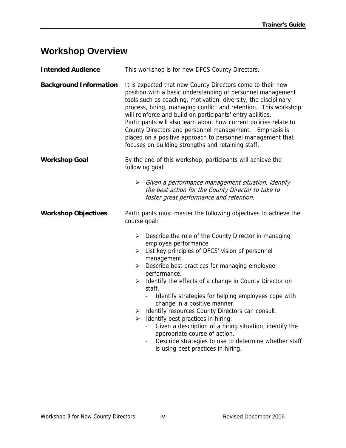#### <span id="page-4-0"></span>**Workshop Overview**

| <b>Intended Audience</b>      | This workshop is for new DFCS County Directors.                                                                                                                                                                                                                                                                                                                                                                                                                                                                                                                                                                                                                                                                                              |
|-------------------------------|----------------------------------------------------------------------------------------------------------------------------------------------------------------------------------------------------------------------------------------------------------------------------------------------------------------------------------------------------------------------------------------------------------------------------------------------------------------------------------------------------------------------------------------------------------------------------------------------------------------------------------------------------------------------------------------------------------------------------------------------|
| <b>Background Information</b> | It is expected that new County Directors come to their new<br>position with a basic understanding of personnel management<br>tools such as coaching, motivation, diversity, the disciplinary<br>process, hiring, managing conflict and retention. This workshop<br>will reinforce and build on participants' entry abilities.<br>Participants will also learn about how current policies relate to<br>County Directors and personnel management. Emphasis is<br>placed on a positive approach to personnel management that<br>focuses on building strengths and retaining staff.                                                                                                                                                             |
| <b>Workshop Goal</b>          | By the end of this workshop, participants will achieve the<br>following goal:                                                                                                                                                                                                                                                                                                                                                                                                                                                                                                                                                                                                                                                                |
|                               | $\triangleright$ Given a performance management situation, identify<br>the best action for the County Director to take to<br>foster great performance and retention.                                                                                                                                                                                                                                                                                                                                                                                                                                                                                                                                                                         |
| <b>Workshop Objectives</b>    | Participants must master the following objectives to achieve the<br>course goal:                                                                                                                                                                                                                                                                                                                                                                                                                                                                                                                                                                                                                                                             |
|                               | $\triangleright$ Describe the role of the County Director in managing<br>employee performance.<br>$\triangleright$ List key principles of DFCS' vision of personnel<br>management.<br>Describe best practices for managing employee<br>➤<br>performance.<br>$\triangleright$ Identify the effects of a change in County Director on<br>staff.<br>Identify strategies for helping employees cope with<br>change in a positive manner.<br>> Identify resources County Directors can consult.<br>$\triangleright$ Identify best practices in hiring.<br>Given a description of a hiring situation, identify the<br>appropriate course of action.<br>Describe strategies to use to determine whether staff<br>is using best practices in hiring. |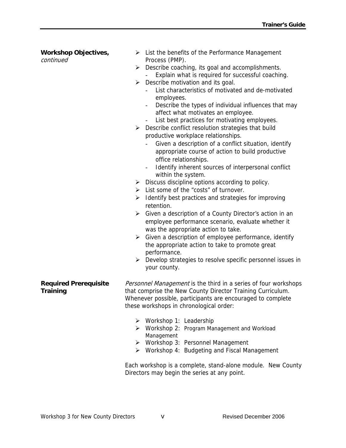| <b>Workshop Objectives,</b><br>continued | $\triangleright$ List the benefits of the Performance Management<br>Process (PMP).                             |
|------------------------------------------|----------------------------------------------------------------------------------------------------------------|
|                                          | Describe coaching, its goal and accomplishments.<br>≻                                                          |
|                                          | Explain what is required for successful coaching.                                                              |
|                                          | Describe motivation and its goal.<br>➤                                                                         |
|                                          | List characteristics of motivated and de-motivated<br>employees.                                               |
|                                          | Describe the types of individual influences that may                                                           |
|                                          | affect what motivates an employee.<br>List best practices for motivating employees.                            |
|                                          | $\overline{\phantom{a}}$<br>Describe conflict resolution strategies that build<br>➤                            |
|                                          | productive workplace relationships.                                                                            |
|                                          | Given a description of a conflict situation, identify                                                          |
|                                          | appropriate course of action to build productive                                                               |
|                                          | office relationships.                                                                                          |
|                                          | Identify inherent sources of interpersonal conflict                                                            |
|                                          | within the system.                                                                                             |
|                                          | Discuss discipline options according to policy.<br>➤<br>$\triangleright$ List some of the "costs" of turnover. |
|                                          | Identify best practices and strategies for improving<br>➤                                                      |
|                                          | retention.                                                                                                     |
|                                          | Given a description of a County Director's action in an<br>➤                                                   |
|                                          | employee performance scenario, evaluate whether it                                                             |
|                                          | was the appropriate action to take.                                                                            |
|                                          | > Given a description of employee performance, identify                                                        |
|                                          | the appropriate action to take to promote great                                                                |
|                                          | performance.                                                                                                   |
|                                          | $\triangleright$ Develop strategies to resolve specific personnel issues in                                    |
|                                          | your county.                                                                                                   |
| <b>Required Prerequisite</b>             | Personnel Management is the third in a series of four workshops                                                |
| <b>Training</b>                          | that comprise the New County Director Training Curriculum.                                                     |
|                                          | Whenever possible, participants are encouraged to complete                                                     |
|                                          | these workshops in chronological order:                                                                        |
|                                          | $\triangleright$ Workshop 1: Leadership                                                                        |
|                                          | Workshop 2: Program Management and Workload<br>≻                                                               |
|                                          | Management                                                                                                     |
|                                          | > Workshop 3: Personnel Management                                                                             |
|                                          | ▶ Workshop 4: Budgeting and Fiscal Management                                                                  |
|                                          | Each workshop is a complete, stand-alone module. New County                                                    |
|                                          | Directors may begin the series at any point.                                                                   |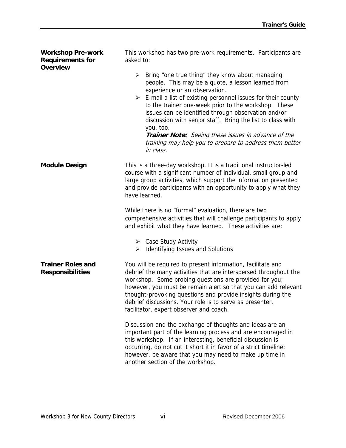| <b>Workshop Pre-work</b><br><b>Requirements for</b><br><b>Overview</b> | This workshop has two pre-work requirements. Participants are<br>asked to:                                                                                                                                                                                                                                                                                                                                                                                                                                                               |
|------------------------------------------------------------------------|------------------------------------------------------------------------------------------------------------------------------------------------------------------------------------------------------------------------------------------------------------------------------------------------------------------------------------------------------------------------------------------------------------------------------------------------------------------------------------------------------------------------------------------|
|                                                                        | Bring "one true thing" they know about managing<br>➤<br>people. This may be a quote, a lesson learned from<br>experience or an observation.<br>E-mail a list of existing personnel issues for their county<br>➤<br>to the trainer one-week prior to the workshop. These<br>issues can be identified through observation and/or<br>discussion with senior staff. Bring the list to class with<br>you, too.<br>Trainer Note: Seeing these issues in advance of the<br>training may help you to prepare to address them better<br>in class. |
| <b>Module Design</b>                                                   | This is a three-day workshop. It is a traditional instructor-led<br>course with a significant number of individual, small group and<br>large group activities, which support the information presented<br>and provide participants with an opportunity to apply what they<br>have learned.<br>While there is no "formal" evaluation, there are two                                                                                                                                                                                       |
|                                                                        | comprehensive activities that will challenge participants to apply<br>and exhibit what they have learned. These activities are:                                                                                                                                                                                                                                                                                                                                                                                                          |
|                                                                        | $\triangleright$ Case Study Activity<br>$\triangleright$ Identifying Issues and Solutions                                                                                                                                                                                                                                                                                                                                                                                                                                                |
| <b>Trainer Roles and</b><br><b>Responsibilities</b>                    | You will be required to present information, facilitate and<br>debrief the many activities that are interspersed throughout the<br>workshop. Some probing questions are provided for you;<br>however, you must be remain alert so that you can add relevant<br>thought-provoking questions and provide insights during the<br>debrief discussions. Your role is to serve as presenter,<br>facilitator, expert observer and coach.                                                                                                        |
|                                                                        | Discussion and the exchange of thoughts and ideas are an<br>important part of the learning process and are encouraged in<br>this workshop. If an interesting, beneficial discussion is<br>occurring, do not cut it short it in favor of a strict timeline;<br>however, be aware that you may need to make up time in<br>another section of the workshop.                                                                                                                                                                                 |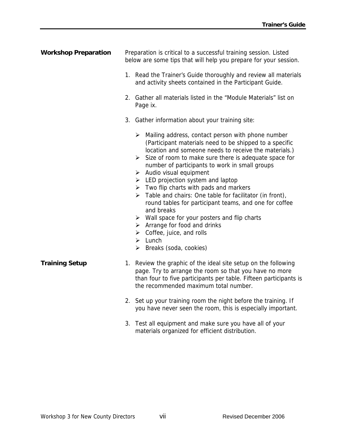| <b>Workshop Preparation</b> | Preparation is critical to a successful training session. Listed<br>below are some tips that will help you prepare for your session.<br>1. Read the Trainer's Guide thoroughly and review all materials<br>and activity sheets contained in the Participant Guide.<br>2. Gather all materials listed in the "Module Materials" list on<br>Page ix.<br>3. Gather information about your training site:<br>$\triangleright$ Mailing address, contact person with phone number<br>(Participant materials need to be shipped to a specific                                                                                                                                                                                            |
|-----------------------------|-----------------------------------------------------------------------------------------------------------------------------------------------------------------------------------------------------------------------------------------------------------------------------------------------------------------------------------------------------------------------------------------------------------------------------------------------------------------------------------------------------------------------------------------------------------------------------------------------------------------------------------------------------------------------------------------------------------------------------------|
|                             | location and someone needs to receive the materials.)<br>$\triangleright$ Size of room to make sure there is adequate space for<br>number of participants to work in small groups<br>$\triangleright$ Audio visual equipment<br>$\triangleright$ LED projection system and laptop<br>$\triangleright$ Two flip charts with pads and markers<br>$\triangleright$ Table and chairs: One table for facilitator (in front),<br>round tables for participant teams, and one for coffee<br>and breaks<br>$\triangleright$ Wall space for your posters and flip charts<br>$\triangleright$ Arrange for food and drinks<br>$\triangleright$ Coffee, juice, and rolls<br>$\triangleright$ Lunch<br>$\triangleright$ Breaks (soda, cookies) |
| <b>Training Setup</b>       | 1. Review the graphic of the ideal site setup on the following<br>page. Try to arrange the room so that you have no more<br>than four to five participants per table. Fifteen participants is<br>the recommended maximum total number.                                                                                                                                                                                                                                                                                                                                                                                                                                                                                            |
|                             | 2. Set up your training room the night before the training. If<br>you have never seen the room, this is especially important.                                                                                                                                                                                                                                                                                                                                                                                                                                                                                                                                                                                                     |
|                             | 3. Test all equipment and make sure you have all of your<br>materials organized for efficient distribution.                                                                                                                                                                                                                                                                                                                                                                                                                                                                                                                                                                                                                       |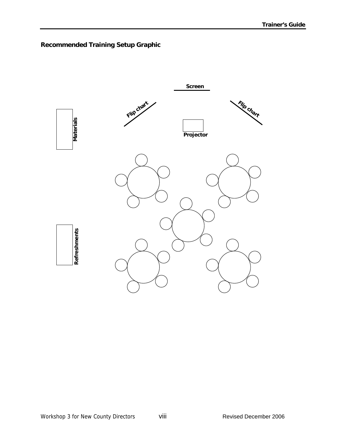#### **Recommended Training Setup Graphic**

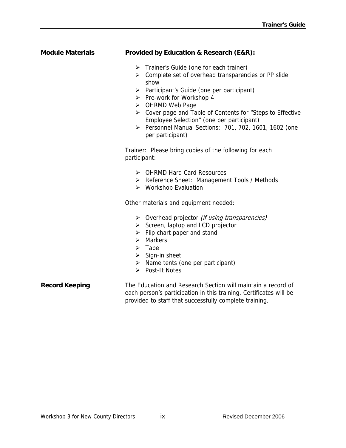#### **Module Materials Provided by Education & Research (E&R):**

- ¾ Trainer's Guide (one for each trainer)
- ¾ Complete set of overhead transparencies or PP slide show
- ¾ Participant's Guide (one per participant)
- $\triangleright$  Pre-work for Workshop 4
- ¾ OHRMD Web Page
- ¾ Cover page and Table of Contents for "Steps to Effective Employee Selection" (one per participant)
- ¾ Personnel Manual Sections: 701, 702, 1601, 1602 (one per participant)

Trainer: Please bring copies of the following for each participant:

- ¾ OHRMD Hard Card Resources
- ¾ Reference Sheet: Management Tools / Methods
- ¾ Workshop Evaluation

Other materials and equipment needed:

- $\triangleright$  Overhead projector *(if using transparencies)*
- ¾ Screen, laptop and LCD projector
- $\triangleright$  Flip chart paper and stand
- $\triangleright$  Markers
- $\triangleright$  Tape
- $\triangleright$  Sign-in sheet
- $\triangleright$  Name tents (one per participant)
- ¾ Post-It Notes

**Record Keeping The Education and Research Section will maintain a record of** each person's participation in this training. Certificates will be provided to staff that successfully complete training.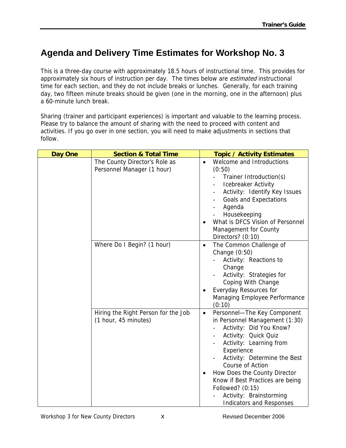### <span id="page-10-0"></span>**Agenda and Delivery Time Estimates for Workshop No. 3**

This is a three-day course with approximately 18.5 hours of instructional time. This provides for approximately six hours of instruction per day. The times below are *estimated* instructional time for each section, and they do not include breaks or lunches. Generally, for each training day, two fifteen minute breaks should be given (one in the morning, one in the afternoon) plus a 60-minute lunch break.

Sharing (trainer and participant experiences) is important and valuable to the learning process. Please try to balance the amount of sharing with the need to proceed with content and activities. If you go over in one section, you will need to make adjustments in sections that follow.

| Day One | <b>Section &amp; Total Time</b>                             | <b>Topic / Activity Estimates</b>                                                                                                                                                                                                                                                                                                                                                |
|---------|-------------------------------------------------------------|----------------------------------------------------------------------------------------------------------------------------------------------------------------------------------------------------------------------------------------------------------------------------------------------------------------------------------------------------------------------------------|
|         | The County Director's Role as<br>Personnel Manager (1 hour) | Welcome and Introductions<br>$\bullet$<br>(0:50)<br>Trainer Introduction(s)<br><b>Icebreaker Activity</b><br>Activity: Identify Key Issues<br><b>Goals and Expectations</b><br>Agenda<br>Housekeeping<br>What is DFCS Vision of Personnel<br>Management for County<br>Directors? (0:10)                                                                                          |
|         | Where Do I Begin? (1 hour)                                  | The Common Challenge of<br>$\bullet$<br>Change (0:50)<br>Activity: Reactions to<br>Change<br>Activity: Strategies for<br>Coping With Change<br>Everyday Resources for<br>Managing Employee Performance<br>(0:10)                                                                                                                                                                 |
|         | Hiring the Right Person for the Job<br>(1 hour, 45 minutes) | Personnel-The Key Component<br>$\bullet$<br>in Personnel Management (1:30)<br>Activity: Did You Know?<br>Activity: Quick Quiz<br>Activity: Learning from<br>Experience<br>Activity: Determine the Best<br>Course of Action<br>How Does the County Director<br>Know if Best Practices are being<br>Followed? (0:15)<br>Activity: Brainstorming<br><b>Indicators and Responses</b> |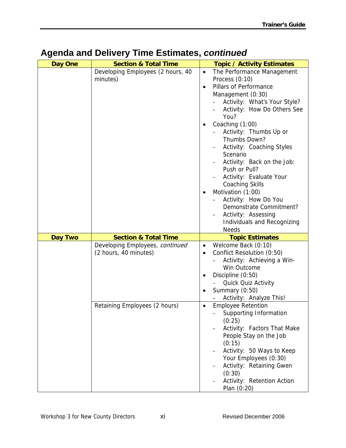| Day One        | <b>Section &amp; Total Time</b>   | <b>Topic / Activity Estimates</b>       |
|----------------|-----------------------------------|-----------------------------------------|
|                | Developing Employees (2 hours, 40 | $\bullet$<br>The Performance Management |
|                | minutes)                          | Process (0:10)                          |
|                |                                   | Pillars of Performance<br>$\bullet$     |
|                |                                   | Management (0:30)                       |
|                |                                   | Activity: What's Your Style?            |
|                |                                   | Activity: How Do Others See             |
|                |                                   | You?                                    |
|                |                                   | Coaching (1:00)                         |
|                |                                   | Activity: Thumbs Up or                  |
|                |                                   | Thumbs Down?                            |
|                |                                   | Activity: Coaching Styles               |
|                |                                   | Scenario                                |
|                |                                   | Activity: Back on the Job:              |
|                |                                   | Push or Pull?                           |
|                |                                   | Activity: Evaluate Your                 |
|                |                                   | <b>Coaching Skills</b>                  |
|                |                                   | Motivation (1:00)                       |
|                |                                   | Activity: How Do You                    |
|                |                                   | Demonstrate Commitment?                 |
|                |                                   |                                         |
|                |                                   | Activity: Assessing                     |
|                |                                   | Individuals and Recognizing             |
|                |                                   |                                         |
|                |                                   | <b>Needs</b>                            |
| <b>Day Two</b> | <b>Section &amp; Total Time</b>   | <b>Topic Estimates</b>                  |
|                | Developing Employees, continued   | Welcome Back (0:10)<br>$\bullet$        |
|                | (2 hours, 40 minutes)             | Conflict Resolution (0:50)<br>$\bullet$ |
|                |                                   | Activity: Achieving a Win-              |
|                |                                   | Win Outcome                             |
|                |                                   | Discipline (0:50)<br>$\bullet$          |
|                |                                   | Quick Quiz Activity                     |
|                |                                   | Summary (0:50)                          |
|                |                                   | Activity: Analyze This!                 |
|                | Retaining Employees (2 hours)     | <b>Employee Retention</b><br>$\bullet$  |
|                |                                   | Supporting Information                  |
|                |                                   | (0:25)                                  |
|                |                                   | Activity: Factors That Make             |
|                |                                   | People Stay on the Job                  |
|                |                                   | (0:15)                                  |
|                |                                   | Activity: 50 Ways to Keep               |
|                |                                   | Your Employees (0:30)                   |
|                |                                   | Activity: Retaining Gwen                |
|                |                                   | (0:30)                                  |
|                |                                   | Activity: Retention Action              |

### <span id="page-11-0"></span>**Agenda and Delivery Time Estimates,** *continued*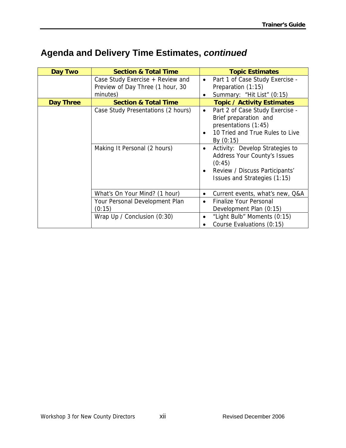## <span id="page-12-0"></span>**Agenda and Delivery Time Estimates,** *continued*

| Day Two   | <b>Section &amp; Total Time</b>                                                  | <b>Topic Estimates</b>                                                                                                                                                |
|-----------|----------------------------------------------------------------------------------|-----------------------------------------------------------------------------------------------------------------------------------------------------------------------|
|           | Case Study Exercise + Review and<br>Preview of Day Three (1 hour, 30<br>minutes) | Part 1 of Case Study Exercise -<br>$\bullet$<br>Preparation (1:15)<br>Summary: "Hit List" (0:15)<br>$\bullet$                                                         |
| Day Three | <b>Section &amp; Total Time</b>                                                  | <b>Topic / Activity Estimates</b>                                                                                                                                     |
|           | Case Study Presentations (2 hours)                                               | Part 2 of Case Study Exercise -<br>$\bullet$<br>Brief preparation and<br>presentations (1:45)<br>10 Tried and True Rules to Live<br>$\bullet$<br>By $(0:15)$          |
|           | Making It Personal (2 hours)                                                     | Activity: Develop Strategies to<br>$\bullet$<br>Address Your County's Issues<br>(0:45)<br>Review / Discuss Participants'<br>$\bullet$<br>Issues and Strategies (1:15) |
|           | What's On Your Mind? (1 hour)                                                    | Current events, what's new, Q&A<br>$\bullet$                                                                                                                          |
|           | Your Personal Development Plan<br>(0:15)                                         | Finalize Your Personal<br>$\bullet$<br>Development Plan (0:15)                                                                                                        |
|           | Wrap Up / Conclusion $(0:30)$                                                    | "Light Bulb" Moments (0:15)<br>Course Evaluations (0:15)                                                                                                              |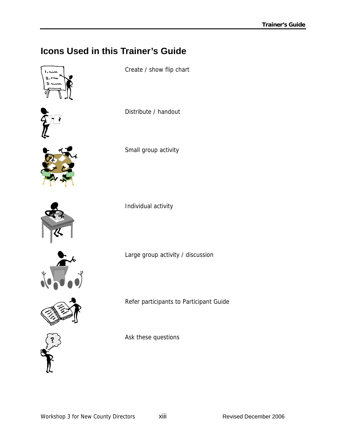## <span id="page-13-0"></span>**Icons Used in this Trainer's Guide**





Create / show flip chart

Distribute / handout



Small group activity



Individual activity



Refer participants to Participant Guide

Large group activity / discussion



Ask these questions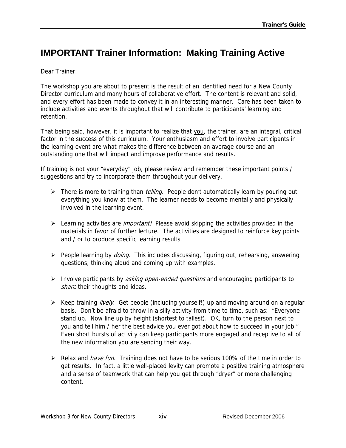#### <span id="page-14-0"></span>**IMPORTANT Trainer Information: Making Training Active**

Dear Trainer:

The workshop you are about to present is the result of an identified need for a New County Director curriculum and many hours of collaborative effort. The content is relevant and solid, and every effort has been made to convey it in an interesting manner. Care has been taken to include activities and events throughout that will contribute to participants' learning and retention.

That being said, however, it is important to realize that you, the trainer, are an integral, critical factor in the success of this curriculum. Your enthusiasm and effort to involve participants in the learning event are what makes the difference between an average course and an outstanding one that will impact and improve performance and results.

If training is not your "everyday" job, please review and remember these important points / suggestions and try to incorporate them throughout your delivery.

- ▶ There is more to training than *telling*. People don't automatically learn by pouring out everything you know at them. The learner needs to become mentally and physically involved in the learning event.
- Examing activities are *important!* Please avoid skipping the activities provided in the materials in favor of further lecture. The activities are designed to reinforce key points and / or to produce specific learning results.
- $\triangleright$  People learning by *doing.* This includes discussing, figuring out, rehearsing, answering questions, thinking aloud and coming up with examples.
- $\triangleright$  Involve participants by *asking open-ended questions* and encouraging participants to share their thoughts and ideas.
- $\triangleright$  Keep training *lively.* Get people (including yourself!) up and moving around on a regular basis. Don't be afraid to throw in a silly activity from time to time, such as: "Everyone stand up. Now line up by height (shortest to tallest). OK, turn to the person next to you and tell him / her the best advice you ever got about how to succeed in your job." Even short bursts of activity can keep participants more engaged and receptive to all of the new information you are sending their way.
- Exection Relax and *have fun.* Training does not have to be serious 100% of the time in order to get results. In fact, a little well-placed levity can promote a positive training atmosphere and a sense of teamwork that can help you get through "dryer" or more challenging content.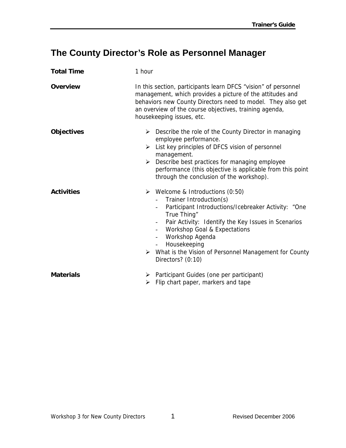## <span id="page-15-0"></span>**The County Director's Role as Personnel Manager**

| <b>Total Time</b> | 1 hour                                                                                                                                                                                                                                                                                                                                                                                                                          |
|-------------------|---------------------------------------------------------------------------------------------------------------------------------------------------------------------------------------------------------------------------------------------------------------------------------------------------------------------------------------------------------------------------------------------------------------------------------|
| <b>Overview</b>   | In this section, participants learn DFCS "vision" of personnel<br>management, which provides a picture of the attitudes and<br>behaviors new County Directors need to model. They also get<br>an overview of the course objectives, training agenda,<br>housekeeping issues, etc.                                                                                                                                               |
| <b>Objectives</b> | $\triangleright$ Describe the role of the County Director in managing<br>employee performance.<br>List key principles of DFCS vision of personnel<br>➤<br>management.<br>Describe best practices for managing employee<br>➤<br>performance (this objective is applicable from this point<br>through the conclusion of the workshop).                                                                                            |
| <b>Activities</b> | $\triangleright$ Welcome & Introductions (0:50)<br>Trainer Introduction(s)<br>Participant Introductions/Icebreaker Activity: "One<br>True Thing"<br>Pair Activity: Identify the Key Issues in Scenarios<br>Workshop Goal & Expectations<br>$\overline{\phantom{a}}$<br>Workshop Agenda<br>$\overline{\phantom{a}}$<br>Housekeeping<br>$\sim$<br>What is the Vision of Personnel Management for County<br>➤<br>Directors? (0:10) |
| <b>Materials</b>  | Participant Guides (one per participant)<br>➤<br>Flip chart paper, markers and tape<br>➤                                                                                                                                                                                                                                                                                                                                        |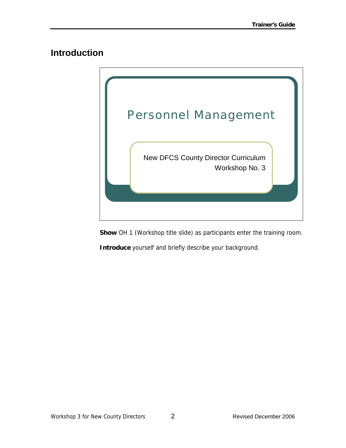#### <span id="page-16-0"></span>**Introduction**



**Show** OH 1 (Workshop title slide) as participants enter the training room.

**Introduce** yourself and briefly describe your background.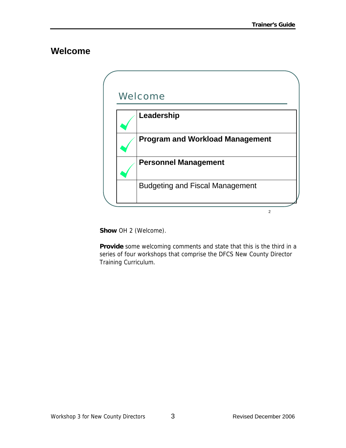#### <span id="page-17-0"></span>**Welcome**

| Welcome                                |
|----------------------------------------|
| Leadership                             |
| <b>Program and Workload Management</b> |
| <b>Personnel Management</b>            |
| <b>Budgeting and Fiscal Management</b> |

**Show** OH 2 (Welcome).

**Provide** some welcoming comments and state that this is the third in a series of four workshops that comprise the DFCS New County Director Training Curriculum.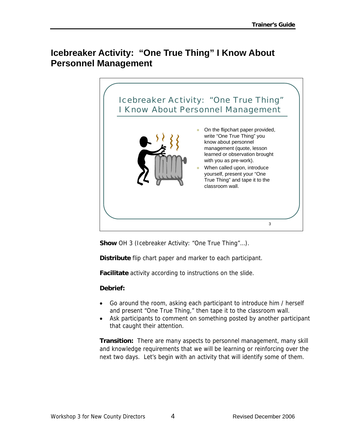#### <span id="page-18-0"></span>**Icebreaker Activity: "One True Thing" I Know About Personnel Management**



**Show** OH 3 (Icebreaker Activity: "One True Thing"…).

**Distribute** flip chart paper and marker to each participant.

**Facilitate** activity according to instructions on the slide.

#### **Debrief:**

- Go around the room, asking each participant to introduce him / herself and present "One True Thing," then tape it to the classroom wall.
- Ask participants to comment on something posted by another participant that caught their attention.

**Transition:** There are many aspects to personnel management, many skill and knowledge requirements that we will be learning or reinforcing over the next two days. Let's begin with an activity that will identify some of them.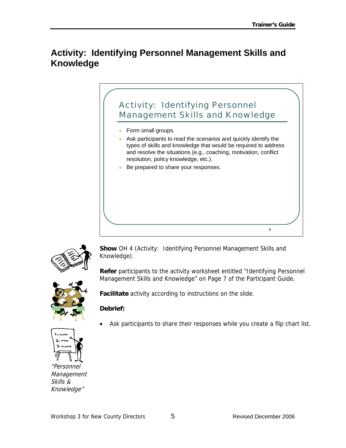#### <span id="page-19-0"></span>**Activity: Identifying Personnel Management Skills and Knowledge**





**Show** OH 4 (Activity: Identifying Personnel Management Skills and Knowledge).

**Refer** participants to the activity worksheet entitled "Identifying Personnel Management Skills and Knowledge" on Page 7 of the Participant Guide.



**Facilitate** activity according to instructions on the slide.

#### **Debrief:**

"Personnel **Management** Skills & Knowledge"

Ask participants to share their responses while you create a flip chart list.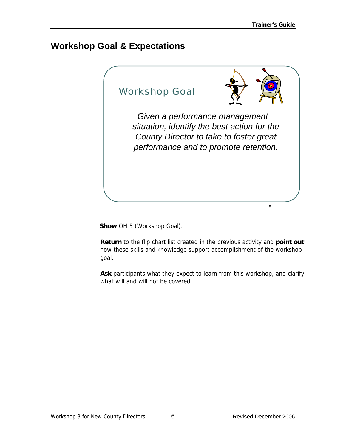#### <span id="page-20-0"></span>**Workshop Goal & Expectations**



**Show** OH 5 (Workshop Goal).

**Return** to the flip chart list created in the previous activity and **point out** how these skills and knowledge support accomplishment of the workshop goal.

**Ask** participants what they expect to learn from this workshop, and clarify what will and will not be covered.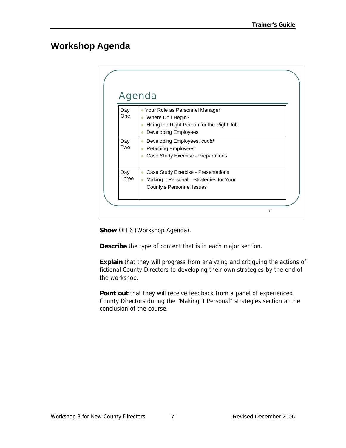#### <span id="page-21-0"></span>**Workshop Agenda**

|              | <b>Agenda</b>                                                               |  |
|--------------|-----------------------------------------------------------------------------|--|
| Day<br>One   | • Your Role as Personnel Manager                                            |  |
|              | Where Do I Begin?<br>$\bullet$<br>Hiring the Right Person for the Right Job |  |
|              | Developing Employees                                                        |  |
| Day<br>Two   | Developing Employees, contd.<br>٥                                           |  |
|              | <b>Retaining Employees</b>                                                  |  |
|              | Case Study Exercise - Preparations                                          |  |
| Day<br>Three | Case Study Exercise - Presentations<br>$\bullet$                            |  |
|              | Making it Personal-Strategies for Your                                      |  |
|              | County's Personnel Issues                                                   |  |

**Show** OH 6 (Workshop Agenda).

**Describe** the type of content that is in each major section.

**Explain** that they will progress from analyzing and critiquing the actions of fictional County Directors to developing their own strategies by the end of the workshop.

**Point out** that they will receive feedback from a panel of experienced County Directors during the "Making it Personal" strategies section at the conclusion of the course.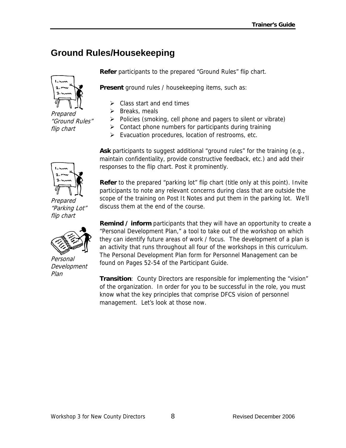## <span id="page-22-0"></span>**Ground Rules/Housekeeping**

Prepared "Ground Rules" flip chart

**Refer** participants to the prepared "Ground Rules" flip chart.

**Present** ground rules / housekeeping items, such as:

- $\triangleright$  Class start and end times
- $\triangleright$  Breaks, meals
- $\triangleright$  Policies (smoking, cell phone and pagers to silent or vibrate)
- $\triangleright$  Contact phone numbers for participants during training
- $\triangleright$  Evacuation procedures, location of restrooms, etc.

Ask participants to suggest additional "ground rules" for the training (e.g., maintain confidentiality, provide constructive feedback, etc.) and add their responses to the flip chart. Post it prominently.

**Refer** to the prepared "parking lot" flip chart (title only at this point). Invite participants to note any relevant concerns during class that are outside the scope of the training on Post It Notes and put them in the parking lot. We'll discuss them at the end of the course.

**Remind / inform** participants that they will have an opportunity to create a "Personal Development Plan," a tool to take out of the workshop on which they can identify future areas of work / focus. The development of a plan is an activity that runs throughout all four of the workshops in this curriculum. The Personal Development Plan form for Personnel Management can be found on Pages 52-54 of the Participant Guide.

**Transition**: County Directors are responsible for implementing the "vision" of the organization. In order for you to be successful in the role, you must know what the key principles that comprise DFCS vision of personnel management. Let's look at those now.



Prepared "Parking Lot" flip chart



Personal Development Plan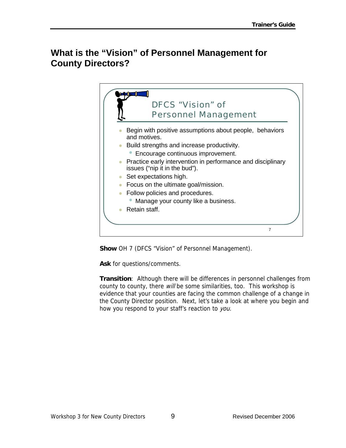#### <span id="page-23-0"></span>**What is the "Vision" of Personnel Management for County Directors?**



**Show** OH 7 (DFCS "Vision" of Personnel Management).

**Ask** for questions/comments.

**Transition**: Although there will be differences in personnel challenges from county to county, there will be some similarities, too. This workshop is evidence that your counties are facing the common challenge of a change in the County Director position. Next, let's take a look at where you begin and how you respond to your staff's reaction to you.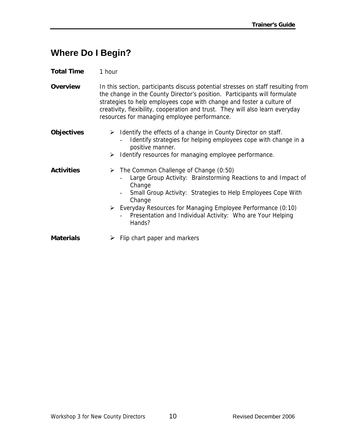#### <span id="page-24-0"></span>**Where Do I Begin?**

| <b>Total Time</b> | 1 hour |
|-------------------|--------|
|-------------------|--------|

**Overview** In this section, participants discuss potential stresses on staff resulting from the change in the County Director's position. Participants will formulate strategies to help employees cope with change and foster a culture of creativity, flexibility, cooperation and trust. They will also learn everyday resources for managing employee performance.

| <b>Objectives</b> | $\triangleright$ Identify the effects of a change in County Director on staff.<br>Identify strategies for helping employees cope with change in a<br>positive manner.<br>Identify resources for managing employee performance.<br>➤                                                                                                                                  |
|-------------------|----------------------------------------------------------------------------------------------------------------------------------------------------------------------------------------------------------------------------------------------------------------------------------------------------------------------------------------------------------------------|
| <b>Activities</b> | $\triangleright$ The Common Challenge of Change (0:50)<br>Large Group Activity: Brainstorming Reactions to and Impact of<br>Change<br>Small Group Activity: Strategies to Help Employees Cope With<br>Change<br>$\triangleright$ Everyday Resources for Managing Employee Performance (0:10)<br>Presentation and Individual Activity: Who are Your Helping<br>Hands? |
| <b>Materials</b>  | Flip chart paper and markers                                                                                                                                                                                                                                                                                                                                         |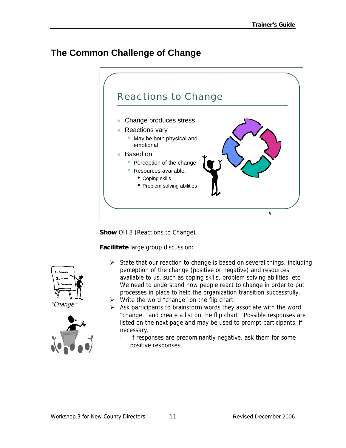#### <span id="page-25-0"></span>**The Common Challenge of Change**



**Show** OH 8 (Reactions to Change).

**Facilitate** large group discussion:

- $\triangleright$  State that our reaction to change is based on several things, including perception of the change (positive or negative) and resources available to us, such as coping skills, problem solving abilities, etc. We need to understand how people react to change in order to put processes in place to help the organization transition successfully.
- $\triangleright$  Write the word "change" on the flip chart.
- $\triangleright$  Ask participants to brainstorm words they associate with the word "change," and create a list on the flip chart. Possible responses are listed on the next page and may be used to prompt participants, if necessary.
	- If responses are predominantly negative, ask them for some positive responses.



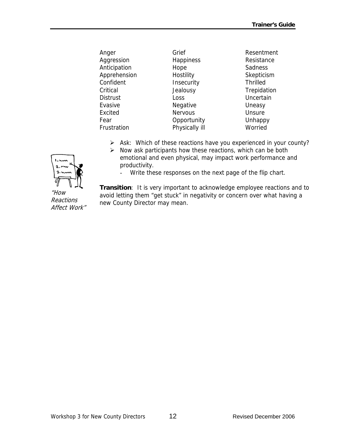| Anger           | Grief          | Resentment      |
|-----------------|----------------|-----------------|
| Aggression      | Happiness      | Resistance      |
| Anticipation    | Hope           | Sadness         |
| Apprehension    | Hostility      | Skepticism      |
| Confident       | Insecurity     | <b>Thrilled</b> |
| Critical        | Jealousy       | Trepidation     |
| <b>Distrust</b> | Loss           | Uncertain       |
| Evasive         | Negative       | Uneasy          |
| Excited         | <b>Nervous</b> | Unsure          |
| Fear            | Opportunity    | Unhappy         |
| Frustration     | Physically ill | Worried         |

- ¾ Ask: Which of these reactions have you experienced in your county?
- $\triangleright$  Now ask participants how these reactions, which can be both emotional and even physical, may impact work performance and productivity.
	- Write these responses on the next page of the flip chart.

**Transition**: It is very important to acknowledge employee reactions and to avoid letting them "get stuck" in negativity or concern over what having a new County Director may mean.



"How Reactions Affect Work"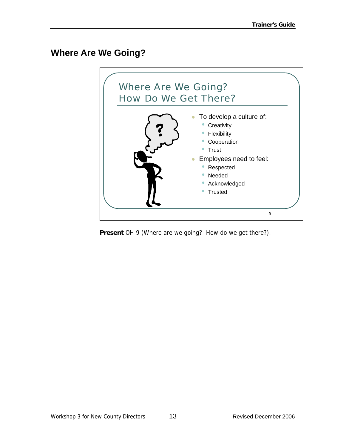#### <span id="page-27-0"></span>**Where Are We Going?**



**Present** OH 9 (Where are we going? How do we get there?).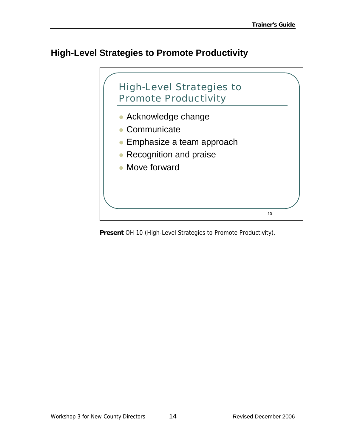#### <span id="page-28-0"></span>**High-Level Strategies to Promote Productivity**



**Present** OH 10 (High-Level Strategies to Promote Productivity).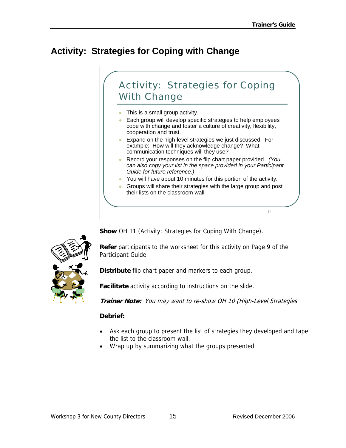## <span id="page-29-0"></span>**Activity: Strategies for Coping with Change**



**Show** OH 11 (Activity: Strategies for Coping With Change).



**Refer** participants to the worksheet for this activity on Page 9 of the Participant Guide.

**Distribute** flip chart paper and markers to each group.

**Facilitate** activity according to instructions on the slide.

**Trainer Note:** You may want to re-show OH 10 (High-Level Strategies

#### **Debrief:**

- Ask each group to present the list of strategies they developed and tape the list to the classroom wall.
- Wrap up by summarizing what the groups presented.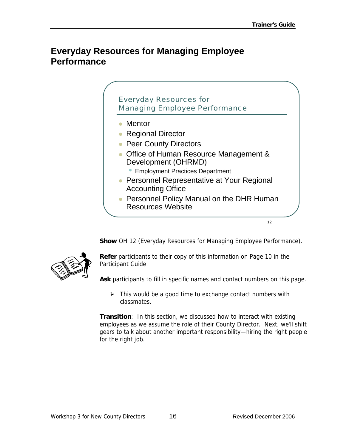#### <span id="page-30-0"></span>**Everyday Resources for Managing Employee Performance**



**Show** OH 12 (Everyday Resources for Managing Employee Performance).



**Refer** participants to their copy of this information on Page 10 in the Participant Guide.

**Ask** participants to fill in specific names and contact numbers on this page.

 $\triangleright$  This would be a good time to exchange contact numbers with classmates.

**Transition**: In this section, we discussed how to interact with existing employees as we assume the role of their County Director. Next, we'll shift gears to talk about another important responsibility—hiring the right people for the right job.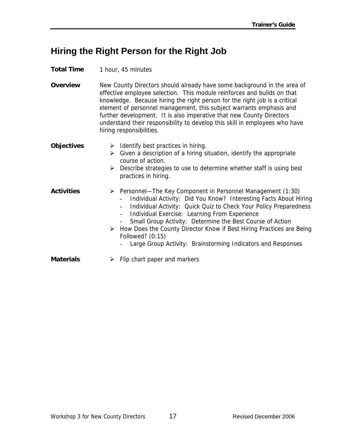#### <span id="page-31-0"></span>**Hiring the Right Person for the Right Job**

#### **Total Time** 1 hour, 45 minutes

**Overview** New County Directors should already have some background in the area of effective employee selection. This module reinforces and builds on that knowledge. Because hiring the right person for the right job is a critical element of personnel management, this subject warrants emphasis and further development. It is also imperative that new County Directors understand their responsibility to develop this skill in employees who have hiring responsibilities.

| <b>Objectives</b> |   | Identify best practices in hiring.<br>$\triangleright$ Given a description of a hiring situation, identify the appropriate<br>course of action.<br>$\triangleright$ Describe strategies to use to determine whether staff is using best<br>practices in hiring.                                                                                                                                                                                                                                     |
|-------------------|---|-----------------------------------------------------------------------------------------------------------------------------------------------------------------------------------------------------------------------------------------------------------------------------------------------------------------------------------------------------------------------------------------------------------------------------------------------------------------------------------------------------|
| <b>Activities</b> |   | $\triangleright$ Personnel—The Key Component in Personnel Management (1:30)<br>Individual Activity: Did You Know? Interesting Facts About Hiring<br>Individual Activity: Quick Quiz to Check Your Policy Preparedness<br>Individual Exercise: Learning From Experience<br>Small Group Activity: Determine the Best Course of Action<br>> How Does the County Director Know if Best Hiring Practices are Being<br>Followed? $(0:15)$<br>Large Group Activity: Brainstorming Indicators and Responses |
| <b>Materials</b>  | ➤ | Flip chart paper and markers                                                                                                                                                                                                                                                                                                                                                                                                                                                                        |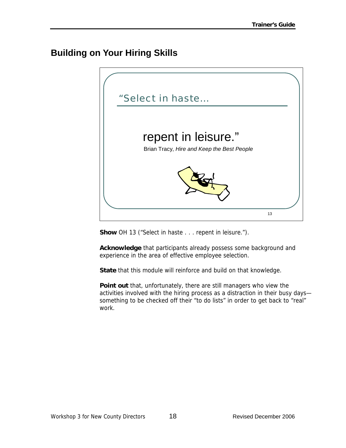### <span id="page-32-0"></span>**Building on Your Hiring Skills**



**Show** OH 13 ("Select in haste . . . repent in leisure.").

**Acknowledge** that participants already possess some background and experience in the area of effective employee selection.

**State** that this module will reinforce and build on that knowledge.

**Point out** that, unfortunately, there are still managers who view the activities involved with the hiring process as a distraction in their busy days something to be checked off their "to do lists" in order to get back to "real" work.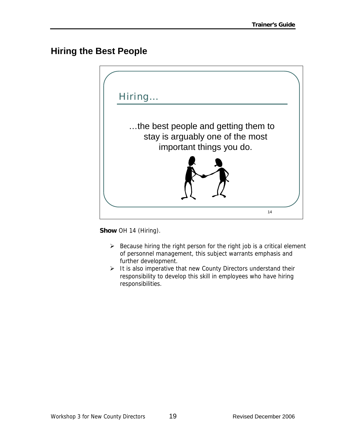#### <span id="page-33-0"></span>**Hiring the Best People**



**Show** OH 14 (Hiring).

- $\triangleright$  Because hiring the right person for the right job is a critical element of personnel management, this subject warrants emphasis and further development.
- $\triangleright$  It is also imperative that new County Directors understand their responsibility to develop this skill in employees who have hiring responsibilities.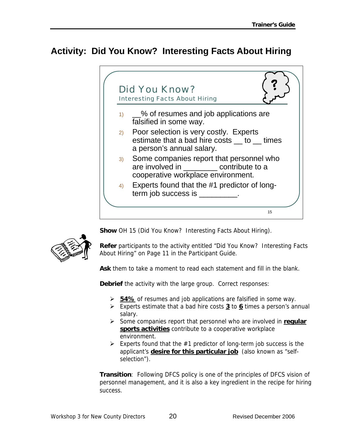#### <span id="page-34-0"></span>**Activity: Did You Know? Interesting Facts About Hiring**



**Show** OH 15 (Did You Know? Interesting Facts About Hiring).



**Refer** participants to the activity entitled "Did You Know? Interesting Facts About Hiring" on Page 11 in the Participant Guide.

**Ask** them to take a moment to read each statement and fill in the blank.

**Debrief** the activity with the large group. Correct responses:

- ¾ **54%** of resumes and job applications are falsified in some way.
- ¾ Experts estimate that a bad hire costs **3** to **6** times a person's annual salary.
- ¾ Some companies report that personnel who are involved in **regular sports activities** contribute to a cooperative workplace environment.
- $\triangleright$  Experts found that the #1 predictor of long-term job success is the applicant's **desire for this particular job** (also known as "selfselection").

**Transition**: Following DFCS policy is one of the principles of DFCS vision of personnel management, and it is also a key ingredient in the recipe for hiring success.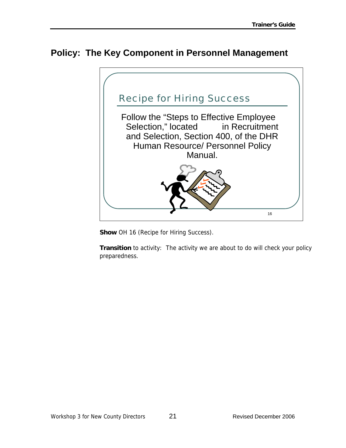#### <span id="page-35-0"></span>**Policy: The Key Component in Personnel Management**



**Show** OH 16 (Recipe for Hiring Success).

**Transition** to activity: The activity we are about to do will check your policy preparedness.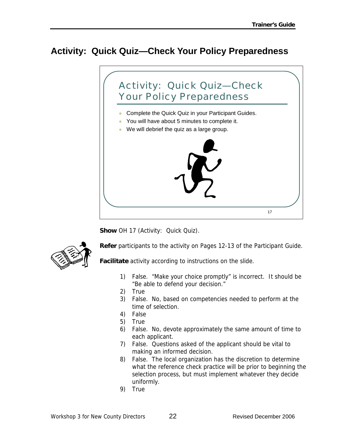# **Activity: Quick Quiz—Check Your Policy Preparedness**



**Show OH 17 (Activity: Quick Quiz).** 



**Refer** participants to the activity on Pages 12-13 of the Participant Guide.

**Facilitate** activity according to instructions on the slide.

- 1) False. "Make your choice promptly" is incorrect. It should be "Be able to defend your decision."
- 2) True
- 3) False. No, based on competencies needed to perform at the time of selection.
- 4) False
- 5) True
- 6) False. No, devote approximately the same amount of time to each applicant.
- 7) False. Questions asked of the applicant should be vital to making an informed decision.
- 8) False. The local organization has the discretion to determine what the reference check practice will be prior to beginning the selection process, but must implement whatever they decide uniformly.
- 9) True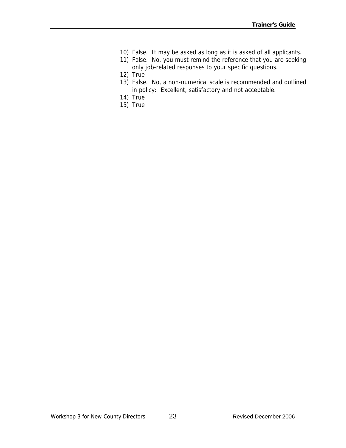- 10) False. It may be asked as long as it is asked of all applicants.
- 11) False. No, you must remind the reference that you are seeking only job-related responses to your specific questions.
- 12) True
- 13) False. No, a non-numerical scale is recommended and outlined in policy: Excellent, satisfactory and not acceptable.
- 14) True
- 15) True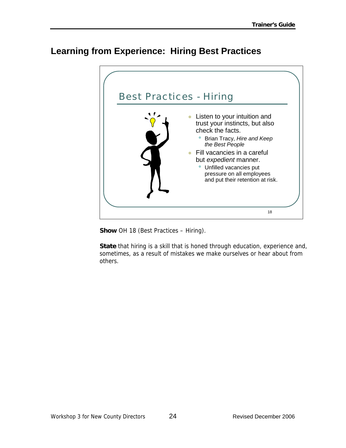### **Learning from Experience: Hiring Best Practices**



**Show** OH 18 (Best Practices – Hiring).

**State** that hiring is a skill that is honed through education, experience and, sometimes, as a result of mistakes we make ourselves or hear about from others.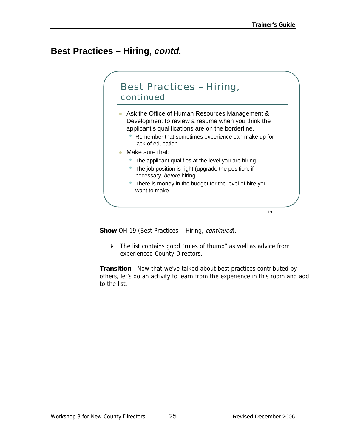#### **Best Practices – Hiring,** *contd.*



**Show** OH 19 (Best Practices – Hiring, continued).

 $\triangleright$  The list contains good "rules of thumb" as well as advice from experienced County Directors.

**Transition**: Now that we've talked about best practices contributed by others, let's do an activity to learn from the experience in this room and add to the list.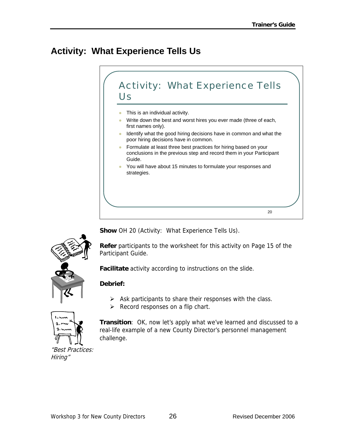### **Activity: What Experience Tells Us**





**Show** OH 20 (Activity: What Experience Tells Us).

**Refer** participants to the worksheet for this activity on Page 15 of the Participant Guide.

**Facilitate** activity according to instructions on the slide.

#### **Debrief:**

- $\triangleright$  Ask participants to share their responses with the class.
- $\triangleright$  Record responses on a flip chart.



**Transition**: OK, now let's apply what we've learned and discussed to a real-life example of a new County Director's personnel management challenge.

"Best Practices: Hiring"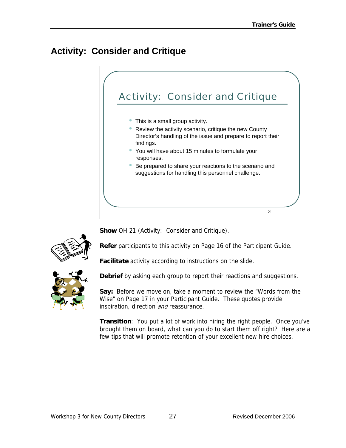# **Activity: Consider and Critique**



**Show** OH 21 (Activity: Consider and Critique).



**Refer** participants to this activity on Page 16 of the Participant Guide.

**Facilitate** activity according to instructions on the slide.



**Debrief** by asking each group to report their reactions and suggestions.

**Say:** Before we move on, take a moment to review the "Words from the Wise" on Page 17 in your Participant Guide. These quotes provide inspiration, direction and reassurance.

**Transition**: You put a lot of work into hiring the right people. Once you've brought them on board, what can you do to start them off right? Here are a few tips that will promote retention of your excellent new hire choices.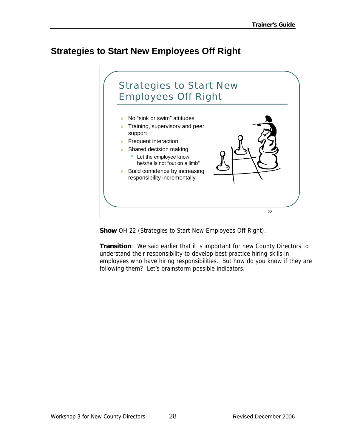#### **Strategies to Start New Employees Off Right**



**Show** OH 22 (Strategies to Start New Employees Off Right).

**Transition**: We said earlier that it is important for new County Directors to understand their responsibility to develop best practice hiring skills in employees who have hiring responsibilities. But how do you know if they are following them? Let's brainstorm possible indicators.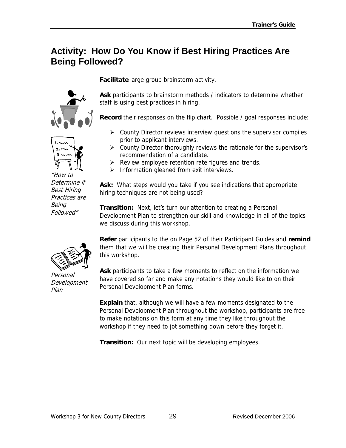#### **Activity: How Do You Know if Best Hiring Practices Are Being Followed?**





"How to Determine if Best Hiring Practices are Being Followed"

**Facilitate** large group brainstorm activity.

**Ask** participants to brainstorm methods / indicators to determine whether staff is using best practices in hiring.

**Record** their responses on the flip chart. Possible / goal responses include:

- $\triangleright$  County Director reviews interview questions the supervisor compiles prior to applicant interviews.
- $\triangleright$  County Director thoroughly reviews the rationale for the supervisor's recommendation of a candidate.
- $\triangleright$  Review employee retention rate figures and trends.
- $\triangleright$  Information gleaned from exit interviews.

**Ask:** What steps would you take if you see indications that appropriate hiring techniques are not being used?

**Transition:** Next, let's turn our attention to creating a Personal Development Plan to strengthen our skill and knowledge in all of the topics we discuss during this workshop.

**Refer** participants to the on Page 52 of their Participant Guides and **remind** them that we will be creating their Personal Development Plans throughout this workshop.

Personal Development Plan

**Ask** participants to take a few moments to reflect on the information we have covered so far and make any notations they would like to on their Personal Development Plan forms.

**Explain** that, although we will have a few moments designated to the Personal Development Plan throughout the workshop, participants are free to make notations on this form at any time they like throughout the workshop if they need to jot something down before they forget it.

**Transition:** Our next topic will be developing employees.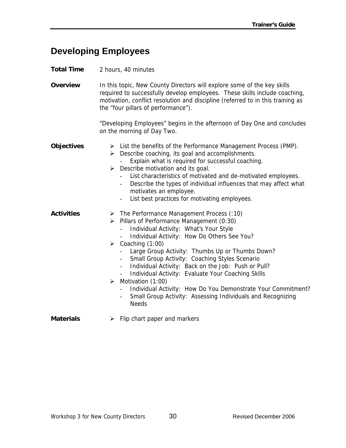#### **Developing Employees**

**Total Time** 2 hours, 40 minutes

**Overview** In this topic, New County Directors will explore some of the key skills required to successfully develop employees. These skills include coaching, motivation, conflict resolution and discipline (referred to in this training as the "four pillars of performance").

> "Developing Employees" begins in the afternoon of Day One and concludes on the morning of Day Two.

**Objectives** ¾ List the benefits of the Performance Management Process (PMP).

- $\triangleright$  Describe coaching, its goal and accomplishments.
	- Explain what is required for successful coaching.
- $\triangleright$  Describe motivation and its goal.
	- List characteristics of motivated and de-motivated employees.
	- Describe the types of individual influences that may affect what motivates an employee.
	- List best practices for motivating employees.
- **Activities** ¾ The Performance Management Process (:10)
	- ¾ Pillars of Performance Management (0:30)
		- Individual Activity: What's Your Style
		- Individual Activity: How Do Others See You?
	- $\triangleright$  Coaching (1:00)
		- Large Group Activity: Thumbs Up or Thumbs Down?
		- Small Group Activity: Coaching Styles Scenario
		- Individual Activity: Back on the Job: Push or Pull?
		- Individual Activity: Evaluate Your Coaching Skills
	- $\triangleright$  Motivation (1:00)
		- Individual Activity: How Do You Demonstrate Your Commitment?
		- Small Group Activity: Assessing Individuals and Recognizing Needs
- **Materials** → Flip chart paper and markers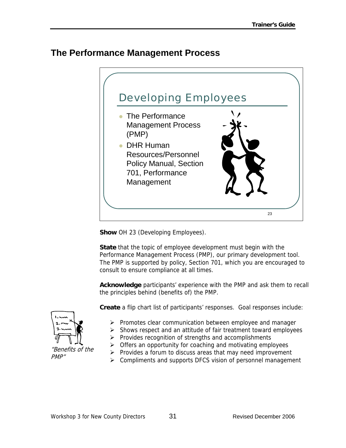#### **The Performance Management Process**



**Show** OH 23 (Developing Employees).

**State** that the topic of employee development must begin with the Performance Management Process (PMP), our primary development tool. The PMP is supported by policy, Section 701, which you are encouraged to consult to ensure compliance at all times.

**Acknowledge** participants' experience with the PMP and ask them to recall the principles behind (benefits of) the PMP.

**Create** a flip chart list of participants' responses. Goal responses include:

- ¾ Promotes clear communication between employee and manager
- $\triangleright$  Shows respect and an attitude of fair treatment toward employees
- $\triangleright$  Provides recognition of strengths and accomplishments
- $\triangleright$  Offers an opportunity for coaching and motivating employees
- $\triangleright$  Provides a forum to discuss areas that may need improvement
- ¾ Compliments and supports DFCS vision of personnel management



"Benefits of the PMP"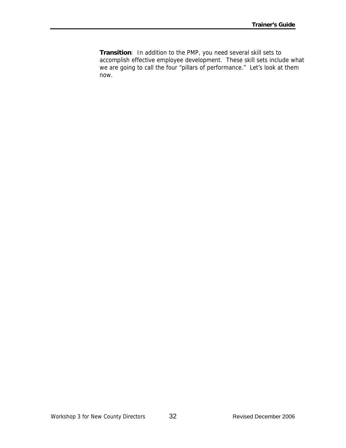**Transition**: In addition to the PMP, you need several skill sets to accomplish effective employee development. These skill sets include what we are going to call the four "pillars of performance." Let's look at them now.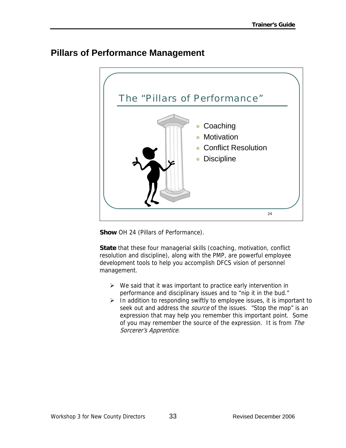#### **Pillars of Performance Management**



**Show** OH 24 (Pillars of Performance).

**State** that these four managerial skills (coaching, motivation, conflict resolution and discipline), along with the PMP, are powerful employee development tools to help you accomplish DFCS vision of personnel management.

- $\triangleright$  We said that it was important to practice early intervention in performance and disciplinary issues and to "nip it in the bud."
- $\triangleright$  In addition to responding swiftly to employee issues, it is important to seek out and address the *source* of the issues. "Stop the mop" is an expression that may help you remember this important point. Some of you may remember the source of the expression. It is from The Sorcerer's Apprentice.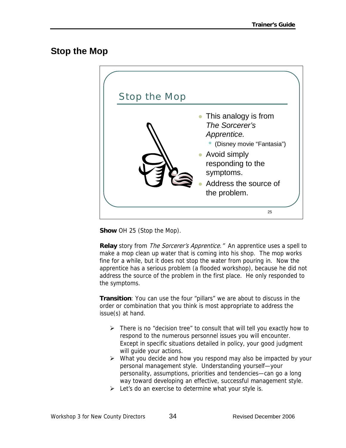#### **Stop the Mop**



**Show** OH 25 (Stop the Mop).

**Relay** story from *The Sorcerer's Apprentice.*" An apprentice uses a spell to make a mop clean up water that is coming into his shop. The mop works fine for a while, but it does not stop the water from pouring in. Now the apprentice has a serious problem (a flooded workshop), because he did not address the source of the problem in the first place. He only responded to the symptoms.

**Transition**: You can use the four "pillars" we are about to discuss in the order or combination that you think is most appropriate to address the issue(s) at hand.

- $\triangleright$  There is no "decision tree" to consult that will tell you exactly how to respond to the numerous personnel issues you will encounter. Except in specific situations detailed in policy, your good judgment will guide your actions.
- $\triangleright$  What you decide and how you respond may also be impacted by your personal management style. Understanding yourself—your personality, assumptions, priorities and tendencies—can go a long way toward developing an effective, successful management style.
- $\triangleright$  Let's do an exercise to determine what your style is.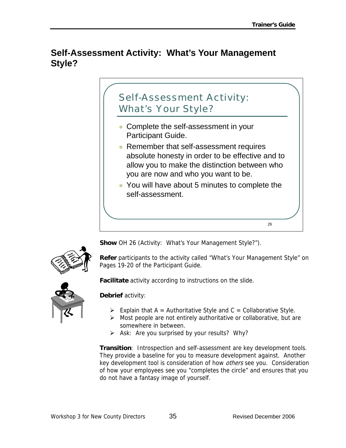#### **Self-Assessment Activity: What's Your Management Style?**



**Show** OH 26 (Activity: What's Your Management Style?").

**Refer** participants to the activity called "What's Your Management Style" on Pages 19-20 of the Participant Guide.

**Facilitate** activity according to instructions on the slide.

#### **Debrief** activity:

- $\triangleright$  Explain that A = Authoritative Style and C = Collaborative Style.
- $\triangleright$  Most people are not entirely authoritative or collaborative, but are somewhere in between.
- $\triangleright$  Ask: Are you surprised by your results? Why?

**Transition**: Introspection and self-assessment are key development tools. They provide a baseline for you to measure development against. Another key development tool is consideration of how *others* see you. Consideration of how your employees see you "completes the circle" and ensures that you do not have a fantasy image of yourself.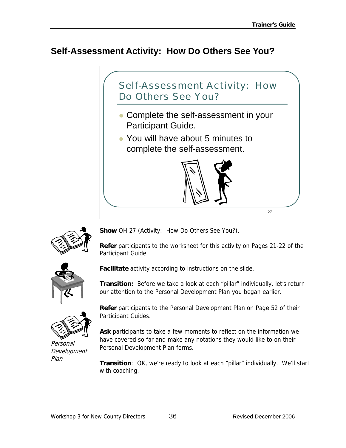#### **Self-Assessment Activity: How Do Others See You?**





**Show** OH 27 (Activity: How Do Others See You?).

**Refer** participants to the worksheet for this activity on Pages 21-22 of the Participant Guide.



**Facilitate** activity according to instructions on the slide.

**Transition:** Before we take a look at each "pillar" individually, let's return our attention to the Personal Development Plan you began earlier.



Personal Development Plan

**Refer** participants to the Personal Development Plan on Page 52 of their Participant Guides.

**Ask** participants to take a few moments to reflect on the information we have covered so far and make any notations they would like to on their Personal Development Plan forms.

**Transition**: OK, we're ready to look at each "pillar" individually. We'll start with coaching.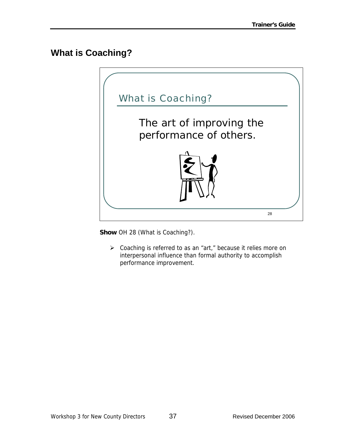#### **What is Coaching?**



**Show** OH 28 (What is Coaching?).

¾ Coaching is referred to as an "art," because it relies more on interpersonal influence than formal authority to accomplish performance improvement.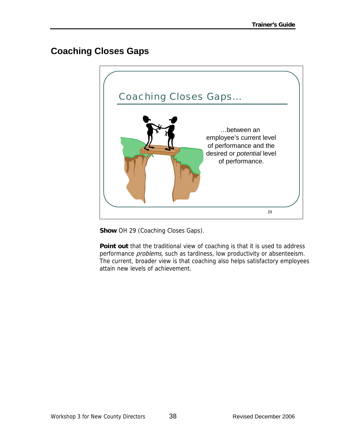# **Coaching Closes Gaps**



**Show** OH 29 (Coaching Closes Gaps).

**Point out** that the traditional view of coaching is that it is used to address performance *problems*, such as tardiness, low productivity or absenteeism. The current, broader view is that coaching also helps satisfactory employees attain new levels of achievement.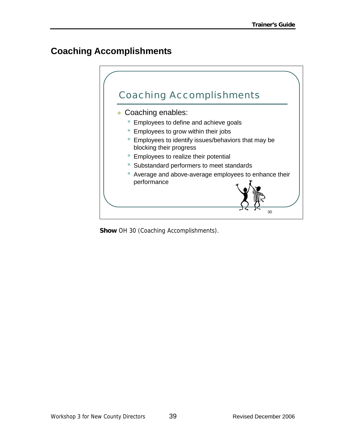### **Coaching Accomplishments**



**Show** OH 30 (Coaching Accomplishments).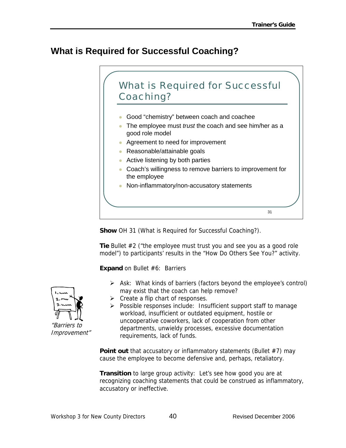### **What is Required for Successful Coaching?**



**Show** OH 31 (What is Required for Successful Coaching?).

**Tie** Bullet #2 ("the employee must trust you and see you as a good role model") to participants' results in the "How Do Others See You?" activity.

**Expand** on Bullet #6: Barriers

- $\triangleright$  Ask: What kinds of barriers (factors beyond the employee's control) may exist that the coach can help remove?
- $\triangleright$  Create a flip chart of responses.
- $\triangleright$  Possible responses include: Insufficient support staff to manage workload, insufficient or outdated equipment, hostile or uncooperative coworkers, lack of cooperation from other departments, unwieldy processes, excessive documentation requirements, lack of funds.

**Point out** that accusatory or inflammatory statements (Bullet #7) may cause the employee to become defensive and, perhaps, retaliatory.

**Transition** to large group activity: Let's see how good you are at recognizing coaching statements that could be construed as inflammatory, accusatory or ineffective.



Improvement"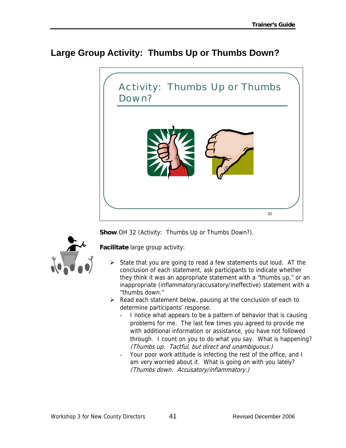### **Large Group Activity: Thumbs Up or Thumbs Down?**



**Show** OH 32 (Activity: Thumbs Up or Thumbs Down?).



**Facilitate** large group activity:

- $\triangleright$  State that you are going to read a few statements out loud. AT the conclusion of each statement, ask participants to indicate whether they think it was an appropriate statement with a "thumbs up," or an inappropriate (inflammatory/accusatory/ineffective) statement with a "thumbs down."
- $\triangleright$  Read each statement below, pausing at the conclusion of each to determine participants' response.
	- I notice what appears to be a pattern of behavior that is causing problems for me. The last few times you agreed to provide me with additional information or assistance, you have not followed through. I count on you to do what you say. What is happening? (Thumbs up. Tactful, but direct and unambiguous.)
	- Your poor work attitude is infecting the rest of the office, and I am very worried about it. What is going on with you lately? (Thumbs down. Accusatory/inflammatory.)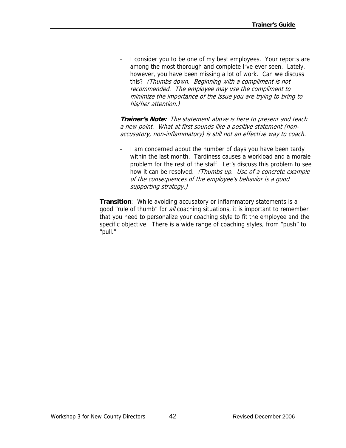I consider you to be one of my best employees. Your reports are among the most thorough and complete I've ever seen. Lately, however, you have been missing a lot of work. Can we discuss this? (Thumbs down. Beginning with a compliment is not recommended. The employee may use the compliment to minimize the importance of the issue you are trying to bring to his/her attention.)

**Trainer's Note:** The statement above is here to present and teach a new point. What at first sounds like a positive statement (nonaccusatory, non-inflammatory) is still not an effective way to coach.

I am concerned about the number of days you have been tardy within the last month. Tardiness causes a workload and a morale problem for the rest of the staff. Let's discuss this problem to see how it can be resolved. (Thumbs up. Use of a concrete example of the consequences of the employee's behavior is a good supporting strategy.)

**Transition**: While avoiding accusatory or inflammatory statements is a good "rule of thumb" for all coaching situations, it is important to remember that you need to personalize your coaching style to fit the employee and the specific objective. There is a wide range of coaching styles, from "push" to "pull."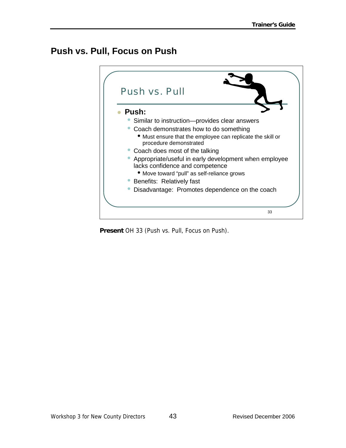### **Push vs. Pull, Focus on Push**



**Present** OH 33 (Push vs. Pull, Focus on Push).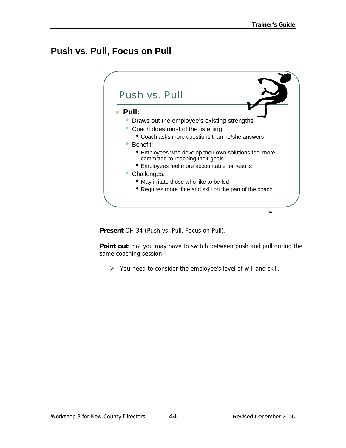### **Push vs. Pull, Focus on Pull**



**Present** OH 34 (Push vs. Pull, Focus on Pull).

**Point out** that you may have to switch between push and pull during the same coaching session.

 $\triangleright$  You need to consider the employee's level of will and skill.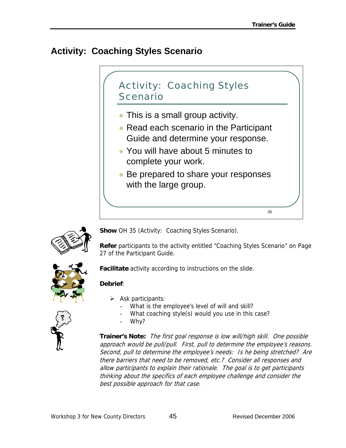# **Activity: Coaching Styles Scenario**





**Show** OH 35 (Activity: Coaching Styles Scenario).

**Refer** participants to the activity entitled "Coaching Styles Scenario" on Page 27 of the Participant Guide.



**Facilitate** activity according to instructions on the slide.

#### **Debrief**:

- $\triangleright$  Ask participants:
	- What is the employee's level of will and skill?
	- What coaching style(s) would you use in this case?
	- Why?

**Trainer's Note:** The first goal response is low will/high skill. One possible approach would be pull/pull. First, pull to determine the employee's reasons. Second, pull to determine the employee's needs: Is he being stretched? Are there barriers that need to be removed, etc.? Consider all responses and allow participants to explain their rationale. The goal is to get participants thinking about the specifics of each employee challenge and consider the best possible approach for that case.

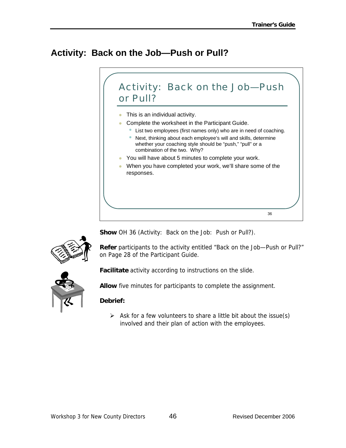# **Activity: Back on the Job—Push or Pull?**





**Show** OH 36 (Activity: Back on the Job: Push or Pull?).

**Refer** participants to the activity entitled "Back on the Job—Push or Pull?" on Page 28 of the Participant Guide.



**Facilitate** activity according to instructions on the slide.

**Allow** five minutes for participants to complete the assignment.

#### **Debrief:**

 $\triangleright$  Ask for a few volunteers to share a little bit about the issue(s) involved and their plan of action with the employees.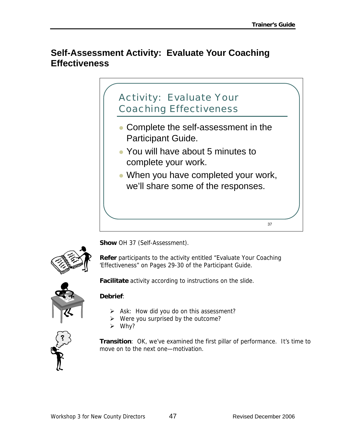#### **Self-Assessment Activity: Evaluate Your Coaching Effectiveness**





**Show** OH 37 (Self-Assessment).

**Refer** participants to the activity entitled "Evaluate Your Coaching 'Effectiveness" on Pages 29-30 of the Participant Guide.

**Facilitate** activity according to instructions on the slide.

#### **Debrief**:

- $\triangleright$  Ask: How did you do on this assessment?
- $\triangleright$  Were you surprised by the outcome?
- $\triangleright$  Why?



**Transition**: OK, we've examined the first pillar of performance. It's time to move on to the next one—motivation.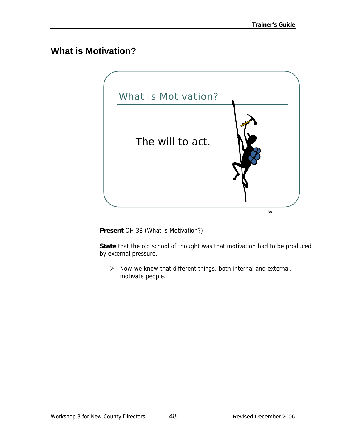#### **What is Motivation?**



**Present** OH 38 (What is Motivation?).

**State** that the old school of thought was that motivation had to be produced by external pressure.

 $\triangleright$  Now we know that different things, both internal and external, motivate people.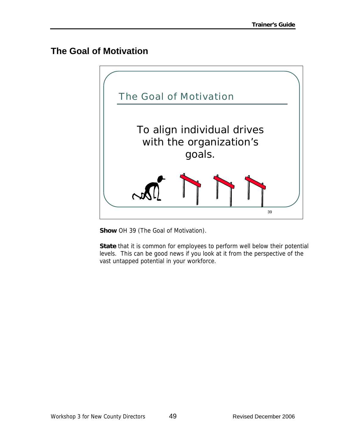#### **The Goal of Motivation**



**Show** OH 39 (The Goal of Motivation).

**State** that it is common for employees to perform well below their potential levels. This can be good news if you look at it from the perspective of the vast untapped potential in your workforce.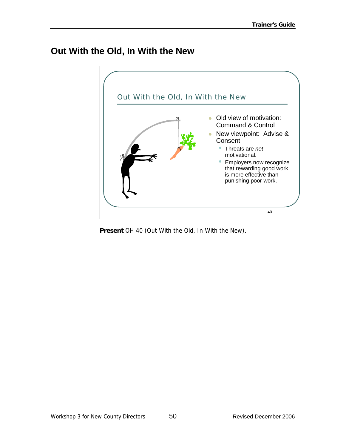#### **Out With the Old, In With the New**



**Present** OH 40 (Out With the Old, In With the New).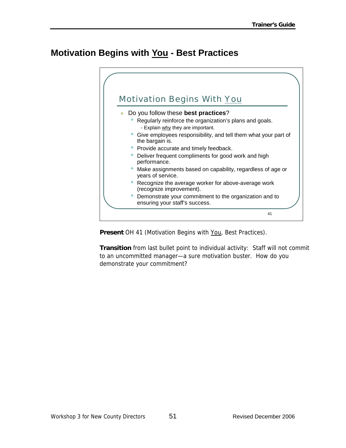### **Motivation Begins with You - Best Practices**



**Present** OH 41 (Motivation Begins with You, Best Practices).

**Transition** from last bullet point to individual activity: Staff will not commit to an uncommitted manager—a sure motivation buster. How do you demonstrate your commitment?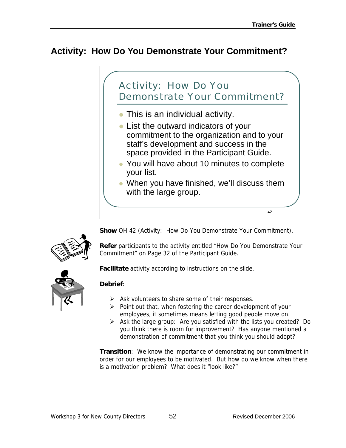$42$ 

### **Activity: How Do You Demonstrate Your Commitment?**

# Activity: How Do You Demonstrate Your Commitment?

- $\bullet$  This is an individual activity.
- List the outward indicators of your commitment to the organization and to your staff's development and success in the space provided in the Participant Guide.
- You will have about 10 minutes to complete your list.
- When you have finished, we'll discuss them with the large group.

**Show** OH 42 (Activity: How Do You Demonstrate Your Commitment).



**Refer** participants to the activity entitled "How Do You Demonstrate Your Commitment" on Page 32 of the Participant Guide.

**Facilitate** activity according to instructions on the slide.

#### **Debrief**:

- $\triangleright$  Ask volunteers to share some of their responses.
- $\triangleright$  Point out that, when fostering the career development of your employees, it sometimes means letting good people move on.
- $\triangleright$  Ask the large group: Are you satisfied with the lists you created? Do you think there is room for improvement? Has anyone mentioned a demonstration of commitment that you think you should adopt?

**Transition**: We know the importance of demonstrating our commitment in order for our employees to be motivated. But how do we know when there is a motivation problem? What does it "look like?"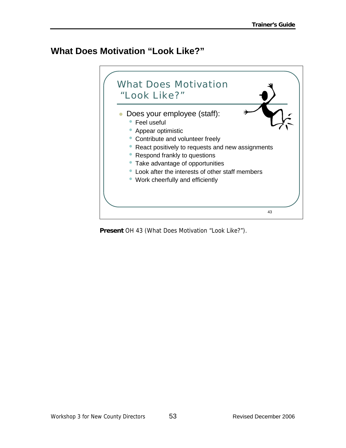#### **What Does Motivation "Look Like?"**



**Present** OH 43 (What Does Motivation "Look Like?").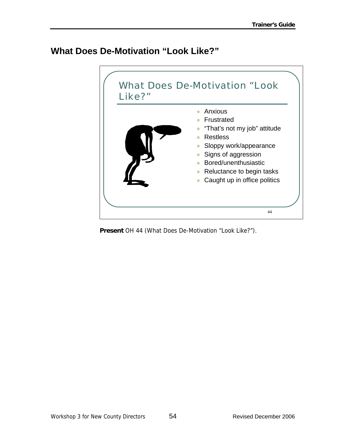#### **What Does De-Motivation "Look Like?"**



**Present** OH 44 (What Does De-Motivation "Look Like?").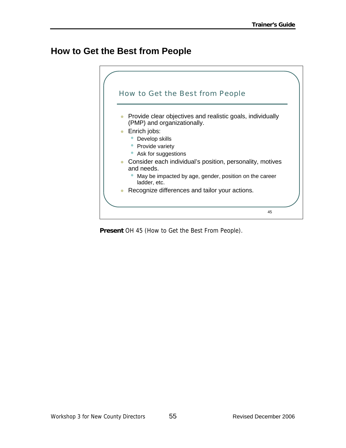#### **How to Get the Best from People**



**Present** OH 45 (How to Get the Best From People).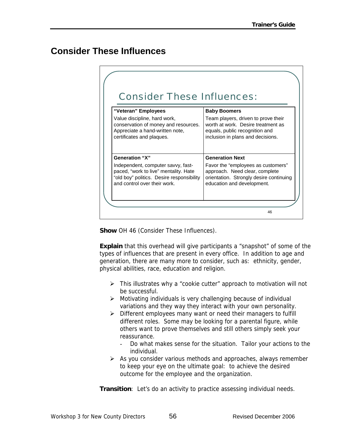#### **Consider These Influences**

| "Veteran" Employees                       | <b>Baby Boomers</b>                     |
|-------------------------------------------|-----------------------------------------|
| Value discipline, hard work,              | Team players, driven to prove their     |
| conservation of money and resources.      | worth at work. Desire treatment as      |
| Appreciate a hand-written note,           | equals, public recognition and          |
| certificates and plaques.                 | inclusion in plans and decisions.       |
| <b>Generation "X"</b>                     | <b>Generation Next</b>                  |
| Independent, computer savvy, fast-        | Favor the "employees as customers"      |
| paced, "work to live" mentality. Hate     | approach. Need clear, complete          |
| "old boy" politics. Desire responsibility | orientation. Strongly desire continuing |
| and control over their work.              | education and development.              |

**Show** OH 46 (Consider These Influences).

**Explain** that this overhead will give participants a "snapshot" of some of the types of influences that are present in every office. In addition to age and generation, there are many more to consider, such as: ethnicity, gender, physical abilities, race, education and religion.

- $\triangleright$  This illustrates why a "cookie cutter" approach to motivation will not be successful.
- $\triangleright$  Motivating individuals is very challenging because of individual variations and they way they interact with your own personality.
- ¾ Different employees many want or need their managers to fulfill different roles. Some may be looking for a parental figure, while others want to prove themselves and still others simply seek your reassurance.
	- Do what makes sense for the situation. Tailor your actions to the individual.
- $\triangleright$  As you consider various methods and approaches, always remember to keep your eye on the ultimate goal: to achieve the desired outcome for the employee and the organization.

**Transition**: Let's do an activity to practice assessing individual needs.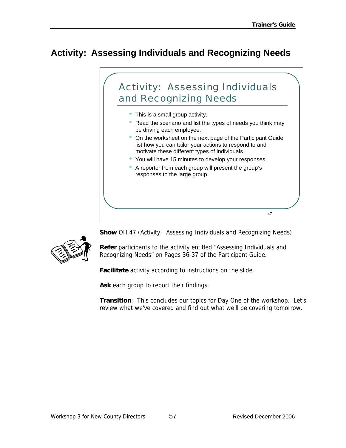# **Activity: Assessing Individuals and Recognizing Needs**



**Show** OH 47 (Activity: Assessing Individuals and Recognizing Needs).

**Refer** participants to the activity entitled "Assessing Individuals and Recognizing Needs" on Pages 36-37 of the Participant Guide.

**Facilitate** activity according to instructions on the slide.

**Ask** each group to report their findings.

**Transition**: This concludes our topics for Day One of the workshop. Let's review what we've covered and find out what we'll be covering tomorrow.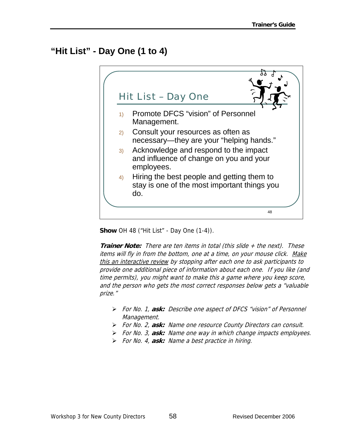# **"Hit List" - Day One (1 to 4)**



**Show** OH 48 ("Hit List" - Day One (1-4)).

**Trainer Note:** There are ten items in total (this slide + the next). These items will fly in from the bottom, one at a time, on your mouse click. Make this an interactive review by stopping after each one to ask participants to provide one additional piece of information about each one. If you like (and time permits), you might want to make this a game where you keep score, and the person who gets the most correct responses below gets a "valuable prize."

- ¾ For No. 1, **ask:** Describe one aspect of DFCS "vision" of Personnel Management.
- ¾ For No. 2, **ask:** Name one resource County Directors can consult.
- ¾ For No. 3, **ask:** Name one way in which change impacts employees.
- ¾ For No. 4, **ask:** Name a best practice in hiring.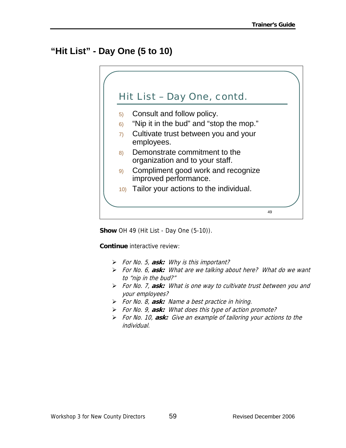# **"Hit List" - Day One (5 to 10)**



**Show** OH 49 (Hit List - Day One (5-10)).

**Continue** interactive review:

- ¾ For No. 5, **ask:** Why is this important?
- ¾ For No. 6, **ask:** What are we talking about here? What do we want to "nip in the bud?"
- ¾ For No. 7, **ask:** What is one way to cultivate trust between you and your employees?
- ¾ For No. 8, **ask:** Name a best practice in hiring.
- ¾ For No. 9, **ask:** What does this type of action promote?
- ¾ For No. 10, **ask:** Give an example of tailoring your actions to the individual.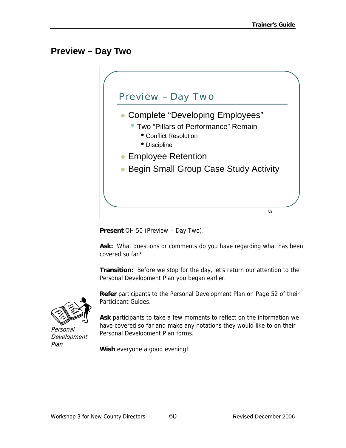### **Preview – Day Two**



**Present** OH 50 (Preview – Day Two).

**Ask:** What questions or comments do you have regarding what has been covered so far?

**Transition:** Before we stop for the day, let's return our attention to the Personal Development Plan you began earlier.



Personal Development Plan

**Refer** participants to the Personal Development Plan on Page 52 of their Participant Guides.

**Ask** participants to take a few moments to reflect on the information we have covered so far and make any notations they would like to on their Personal Development Plan forms.

**Wish** everyone a good evening!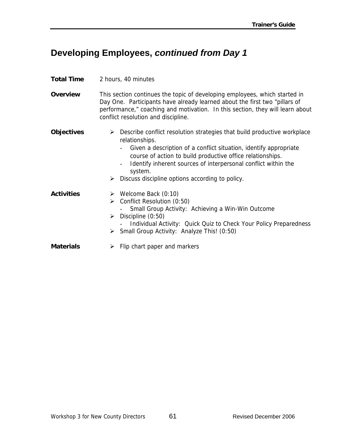## **Developing Employees,** *continued from Day 1*

#### **Total Time** 2 hours, 40 minutes

**Overview** This section continues the topic of developing employees, which started in Day One. Participants have already learned about the first two "pillars of performance," coaching and motivation. In this section, they will learn about conflict resolution and discipline.

#### **Objectives** > Describe conflict resolution strategies that build productive workplace relationships.

- Given a description of a conflict situation, identify appropriate course of action to build productive office relationships.
- Identify inherent sources of interpersonal conflict within the system.
- $\triangleright$  Discuss discipline options according to policy.
- **Activities** ¾ Welcome Back (0:10)  $\triangleright$  Conflict Resolution (0:50) Small Group Activity: Achieving a Win-Win Outcome  $\triangleright$  Discipline (0:50) - Individual Activity: Quick Quiz to Check Your Policy Preparedness ¾ Small Group Activity: Analyze This! (0:50) **Materials** ¾ Flip chart paper and markers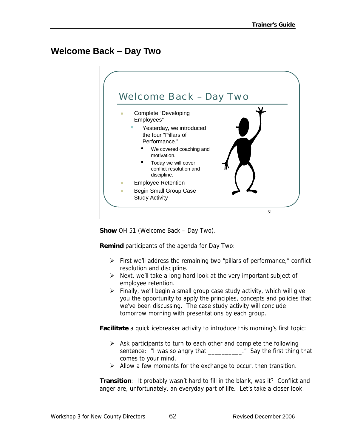## **Welcome Back – Day Two**



**Show** OH 51 (Welcome Back – Day Two).

**Remind** participants of the agenda for Day Two:

- $\triangleright$  First we'll address the remaining two "pillars of performance," conflict resolution and discipline.
- $\triangleright$  Next, we'll take a long hard look at the very important subject of employee retention.
- $\triangleright$  Finally, we'll begin a small group case study activity, which will give you the opportunity to apply the principles, concepts and policies that we've been discussing. The case study activity will conclude tomorrow morning with presentations by each group.

**Facilitate** a quick icebreaker activity to introduce this morning's first topic:

- $\triangleright$  Ask participants to turn to each other and complete the following sentence: "I was so angry that \_\_\_\_\_\_\_\_\_\_\_." Say the first thing that comes to your mind.
- $\triangleright$  Allow a few moments for the exchange to occur, then transition.

**Transition:** It probably wasn't hard to fill in the blank, was it? Conflict and anger are, unfortunately, an everyday part of life. Let's take a closer look.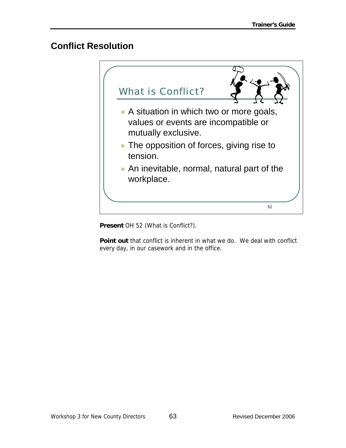## **Conflict Resolution**



**Present** OH 52 (What is Conflict?).

**Point out** that conflict is inherent in what we do. We deal with conflict every day, in our casework and in the office.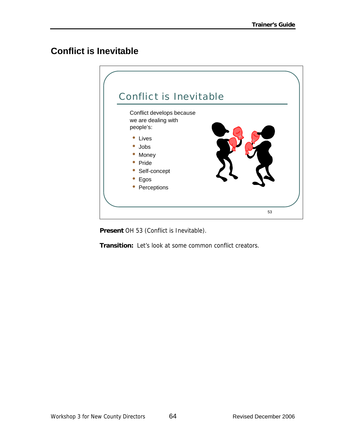# **Conflict is Inevitable**



**Present** OH 53 (Conflict is Inevitable).

**Transition:** Let's look at some common conflict creators.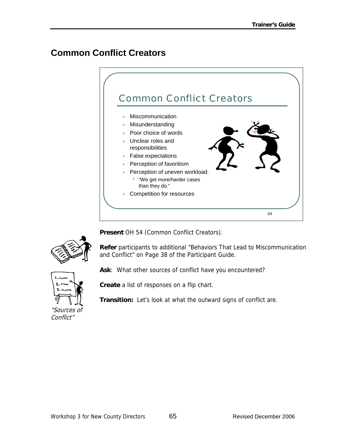# **Common Conflict Creators**



**Present** OH 54 (Common Conflict Creators).

**Refer** participants to additional "Behaviors That Lead to Miscommunication and Conflict" on Page 38 of the Participant Guide.



**Create** a list of responses on a flip chart.

**Transition:** Let's look at what the outward signs of conflict are.

**Ask**: What other sources of conflict have you encountered?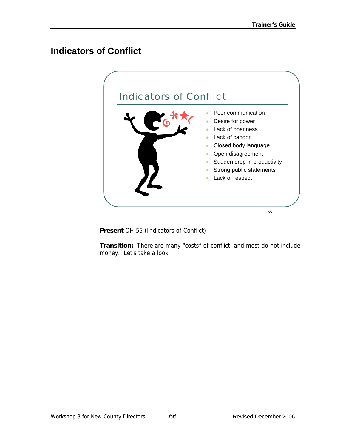### **Indicators of Conflict**



**Present** OH 55 (Indicators of Conflict).

**Transition:** There are many "costs" of conflict, and most do not include money. Let's take a look.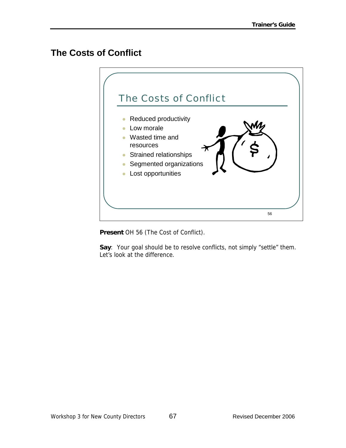## **The Costs of Conflict**



**Present** OH 56 (The Cost of Conflict).

**Say**: Your goal should be to resolve conflicts, not simply "settle" them. Let's look at the difference.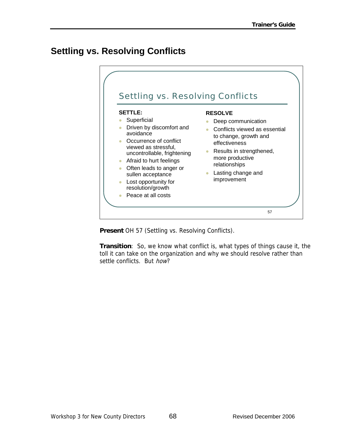## **Settling vs. Resolving Conflicts**

|                                                                                                                                                                                                                                                                                                       | <b>Settling vs. Resolving Conflicts</b>                                                                                                                                                                              |
|-------------------------------------------------------------------------------------------------------------------------------------------------------------------------------------------------------------------------------------------------------------------------------------------------------|----------------------------------------------------------------------------------------------------------------------------------------------------------------------------------------------------------------------|
| <b>SETTLE:</b><br>Superficial<br>Driven by discomfort and<br>avoidance<br>Occurrence of conflict<br>viewed as stressful,<br>uncontrollable, frightening<br>Afraid to hurt feelings<br>Often leads to anger or<br>sullen acceptance<br>Lost opportunity for<br>resolution/growth<br>Peace at all costs | <b>RESOLVE</b><br>Deep communication<br>Conflicts viewed as essential<br>to change, growth and<br>effectiveness<br>Results in strengthened,<br>more productive<br>relationships<br>Lasting change and<br>improvement |

**Present** OH 57 (Settling vs. Resolving Conflicts).

**Transition**: So, we know what conflict is, what types of things cause it, the toll it can take on the organization and why we should resolve rather than settle conflicts. But how?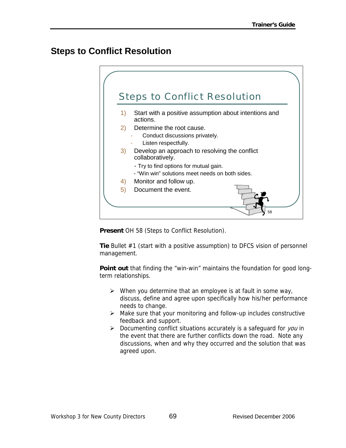### **Steps to Conflict Resolution**



**Present** OH 58 (Steps to Conflict Resolution).

**Tie** Bullet #1 (start with a positive assumption) to DFCS vision of personnel management.

**Point out** that finding the "win-win" maintains the foundation for good longterm relationships.

- $\triangleright$  When you determine that an employee is at fault in some way, discuss, define and agree upon specifically how his/her performance needs to change.
- $\triangleright$  Make sure that your monitoring and follow-up includes constructive feedback and support.
- $\triangleright$  Documenting conflict situations accurately is a safeguard for you in the event that there are further conflicts down the road. Note any discussions, when and why they occurred and the solution that was agreed upon.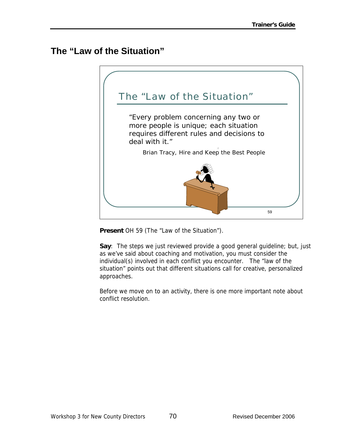### **The "Law of the Situation"**



**Present** OH 59 (The "Law of the Situation").

**Say**: The steps we just reviewed provide a good general guideline; but, just as we've said about coaching and motivation, you must consider the individual(s) involved in each conflict you encounter. The "law of the situation" points out that different situations call for creative, personalized approaches.

Before we move on to an activity, there is one more important note about conflict resolution.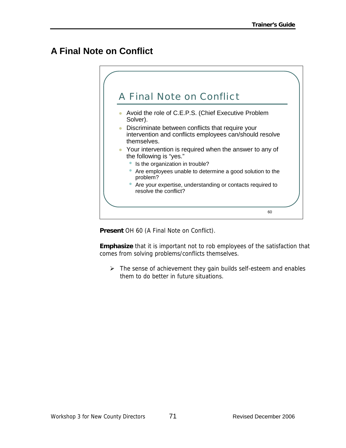# **A Final Note on Conflict**



**Present** OH 60 (A Final Note on Conflict).

**Emphasize** that it is important not to rob employees of the satisfaction that comes from solving problems/conflicts themselves.

 $\triangleright$  The sense of achievement they gain builds self-esteem and enables them to do better in future situations.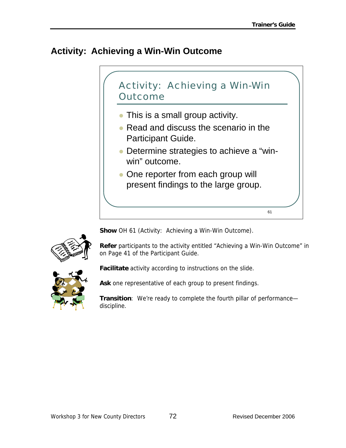# **Activity: Achieving a Win-Win Outcome**



**Show** OH 61 (Activity: Achieving a Win-Win Outcome).



**Refer** participants to the activity entitled "Achieving a Win-Win Outcome" in on Page 41 of the Participant Guide.



**Facilitate** activity according to instructions on the slide.

**Ask** one representative of each group to present findings.

**Transition**: We're ready to complete the fourth pillar of performance discipline.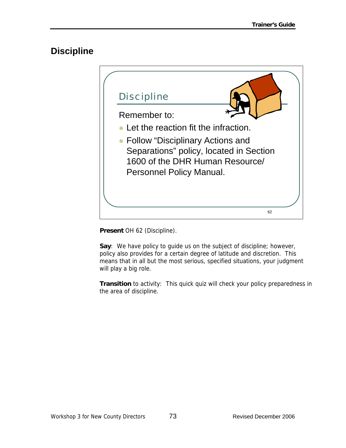## **Discipline**



**Present** OH 62 (Discipline).

**Say**: We have policy to guide us on the subject of discipline; however, policy also provides for a certain degree of latitude and discretion. This means that in all but the most serious, specified situations, your judgment will play a big role.

**Transition** to activity: This quick quiz will check your policy preparedness in the area of discipline.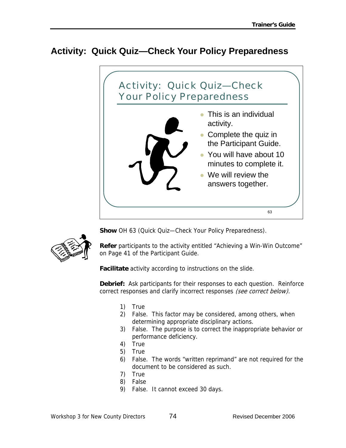# **Activity: Quick Quiz—Check Your Policy Preparedness**



**Show** OH 63 (Quick Quiz—Check Your Policy Preparedness).

**Refer** participants to the activity entitled "Achieving a Win-Win Outcome" on Page 41 of the Participant Guide.

**Facilitate** activity according to instructions on the slide.

**Debrief:** Ask participants for their responses to each question. Reinforce correct responses and clarify incorrect responses (see correct below).

- 1) True
- 2) False. This factor may be considered, among others, when determining appropriate disciplinary actions.
- 3) False. The purpose is to correct the inappropriate behavior or performance deficiency.
- 4) True
- 5) True
- 6) False. The words "written reprimand" are not required for the document to be considered as such.
- 7) True
- 8) False
- 9) False. It cannot exceed 30 days.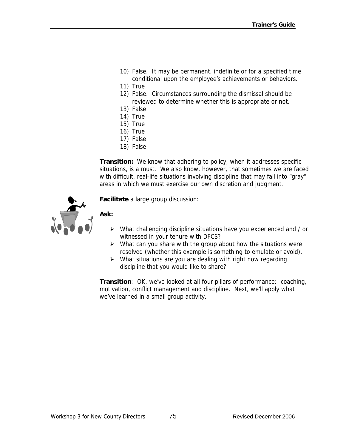- 10) False. It may be permanent, indefinite or for a specified time conditional upon the employee's achievements or behaviors.
- 11) True
- 12) False. Circumstances surrounding the dismissal should be reviewed to determine whether this is appropriate or not.
- 13) False
- 14) True
- 15) True
- 16) True
- 17) False
- 18) False

**Transition:** We know that adhering to policy, when it addresses specific situations, is a must. We also know, however, that sometimes we are faced with difficult, real-life situations involving discipline that may fall into "gray" areas in which we must exercise our own discretion and judgment.



**Facilitate** a large group discussion:

#### **Ask:**

- ¾ What challenging discipline situations have you experienced and / or witnessed in your tenure with DFCS?
- $\triangleright$  What can you share with the group about how the situations were resolved (whether this example is something to emulate or avoid).
- $\triangleright$  What situations are you are dealing with right now regarding discipline that you would like to share?

**Transition**: OK, we've looked at all four pillars of performance: coaching, motivation, conflict management and discipline. Next, we'll apply what we've learned in a small group activity.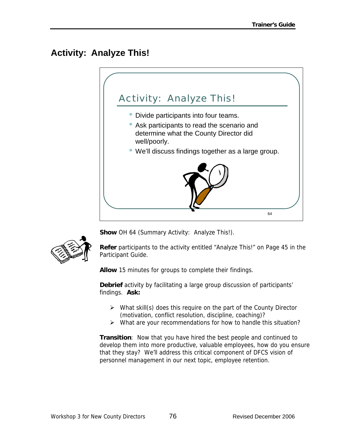# **Activity: Analyze This!**





**Show** OH 64 (Summary Activity: Analyze This!).

**Refer** participants to the activity entitled "Analyze This!" on Page 45 in the Participant Guide.

**Allow** 15 minutes for groups to complete their findings.

**Debrief** activity by facilitating a large group discussion of participants' findings. **Ask:** 

- $\triangleright$  What skill(s) does this require on the part of the County Director (motivation, conflict resolution, discipline, coaching)?
- $\triangleright$  What are your recommendations for how to handle this situation?

**Transition**: Now that you have hired the best people and continued to develop them into more productive, valuable employees, how do you ensure that they stay? We'll address this critical component of DFCS vision of personnel management in our next topic, employee retention.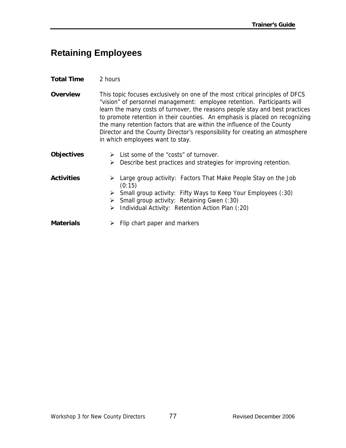## **Retaining Employees**

#### **Total Time** 2 hours

**Overview** This topic focuses exclusively on one of the most critical principles of DFCS "vision" of personnel management: employee retention. Participants will learn the many costs of turnover, the reasons people stay and best practices to promote retention in their counties. An emphasis is placed on recognizing the many retention factors that are within the influence of the County Director and the County Director's responsibility for creating an atmosphere in which employees want to stay.

**Objectives** ¾ List some of the "costs" of turnover.  $\triangleright$  Describe best practices and strategies for improving retention.

- Activities > Large group activity: Factors That Make People Stay on the Job (0:15)
	- ¾ Small group activity: Fifty Ways to Keep Your Employees (:30)
	- $\triangleright$  Small group activity: Retaining Gwen (:30)
	- $\triangleright$  Individual Activity: Retention Action Plan (:20)
- **Materials**  $\rightarrow$  Flip chart paper and markers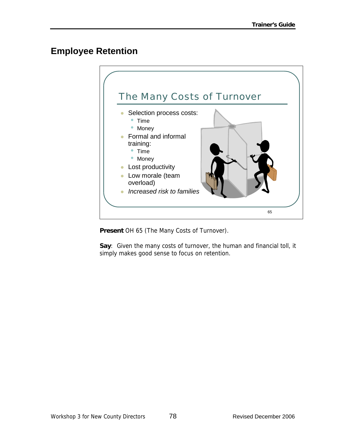## **Employee Retention**



**Present** OH 65 (The Many Costs of Turnover).

**Say**: Given the many costs of turnover, the human and financial toll, it simply makes good sense to focus on retention.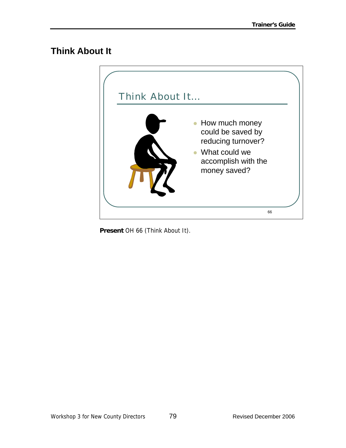## **Think About It**



**Present** OH 66 (Think About It).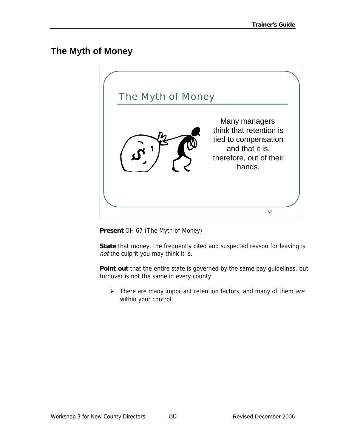## **The Myth of Money**



**Present** OH 67 (The Myth of Money)

**State** that money, the frequently cited and suspected reason for leaving is not the culprit you may think it is.

**Point out** that the entire state is governed by the same pay guidelines, but turnover is not the same in every county.

 $\triangleright$  There are many important retention factors, and many of them are within your control.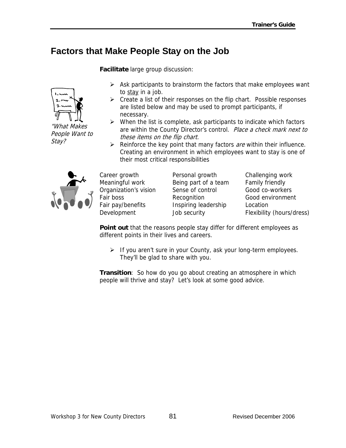## **Factors that Make People Stay on the Job**

**Facilitate** large group discussion:



"What Makes People Want to Stay?

- $\triangleright$  Ask participants to brainstorm the factors that make employees want to stay in a job.
- $\triangleright$  Create a list of their responses on the flip chart. Possible responses are listed below and may be used to prompt participants, if necessary.
- $\triangleright$  When the list is complete, ask participants to indicate which factors are within the County Director's control. Place a check mark next to these items on the flip chart.
- $\triangleright$  Reinforce the key point that many factors *are* within their influence. Creating an environment in which employees want to stay is one of their most critical responsibilities



Meaningful work Being part of a team Family friendly Organization's vision Sense of control Good co-workers Fair boss **Recognition** Recognition Good environment Fair pay/benefits Inspiring leadership Location

Career growth Personal growth Challenging work

Development Job security Flexibility (hours/dress)

**Point out** that the reasons people stay differ for different employees as different points in their lives and careers.

 $\triangleright$  If you aren't sure in your County, ask your long-term employees. They'll be glad to share with you.

**Transition**: So how do you go about creating an atmosphere in which people will thrive and stay? Let's look at some good advice.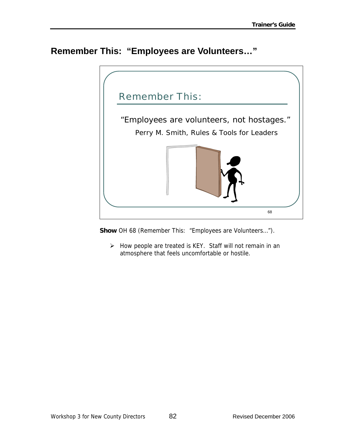## **Remember This: "Employees are Volunteers…"**



**Show** OH 68 (Remember This: "Employees are Volunteers…").

 $\triangleright$  How people are treated is KEY. Staff will not remain in an atmosphere that feels uncomfortable or hostile.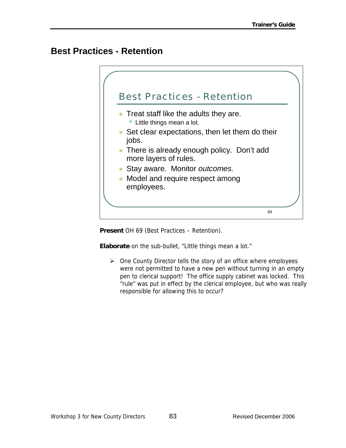### **Best Practices - Retention**



**Present** OH 69 (Best Practices – Retention).

**Elaborate** on the sub-bullet, "Little things mean a lot."

 $\triangleright$  One County Director tells the story of an office where employees were not permitted to have a new pen without turning in an empty pen to clerical support! The office supply cabinet was locked. This "rule" was put in effect by the clerical employee, but who was really responsible for allowing this to occur?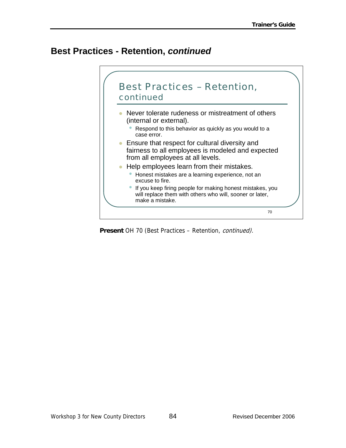## **Best Practices - Retention,** *continued*



**Present** OH 70 (Best Practices – Retention, continued).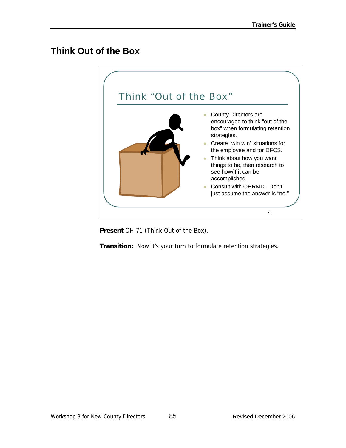### **Think Out of the Box**



**Present** OH 71 (Think Out of the Box).

**Transition:** Now it's your turn to formulate retention strategies.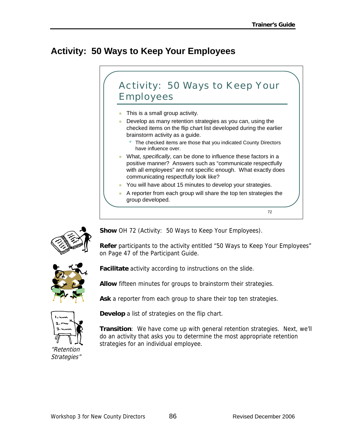# **Activity: 50 Ways to Keep Your Employees**





**Show** OH 72 (Activity: 50 Ways to Keep Your Employees).

**Refer** participants to the activity entitled "50 Ways to Keep Your Employees" on Page 47 of the Participant Guide.



**Facilitate** activity according to instructions on the slide.

**Allow** fifteen minutes for groups to brainstorm their strategies.

**Ask** a reporter from each group to share their top ten strategies.



**Develop** a list of strategies on the flip chart.

**Transition**: We have come up with general retention strategies. Next, we'll do an activity that asks you to determine the most appropriate retention strategies for an individual employee.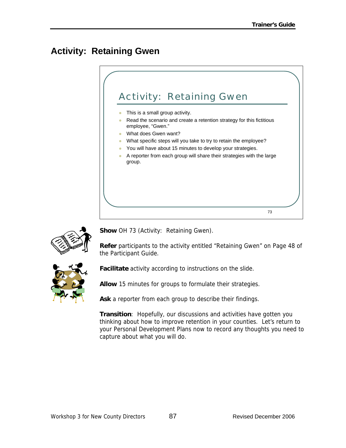# **Activity: Retaining Gwen**





**Show** OH 73 (Activity: Retaining Gwen).

**Refer** participants to the activity entitled "Retaining Gwen" on Page 48 of the Participant Guide.



**Facilitate** activity according to instructions on the slide.

**Allow** 15 minutes for groups to formulate their strategies.

**Ask** a reporter from each group to describe their findings.

**Transition**: Hopefully, our discussions and activities have gotten you thinking about how to improve retention in your counties. Let's return to your Personal Development Plans now to record any thoughts you need to capture about what you will do.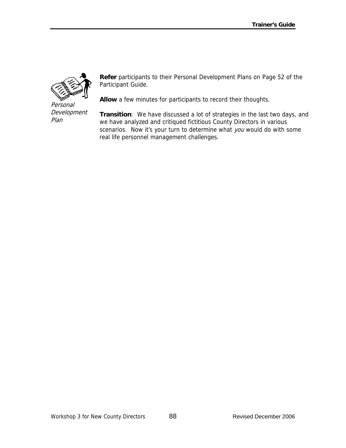

Personal Development Plan

**Refer** participants to their Personal Development Plans on Page 52 of the Participant Guide.

**Allow** a few minutes for participants to record their thoughts.

**Transition**: We have discussed a lot of strategies in the last two days, and we have analyzed and critiqued fictitious County Directors in various scenarios. Now it's your turn to determine what you would do with some real life personnel management challenges.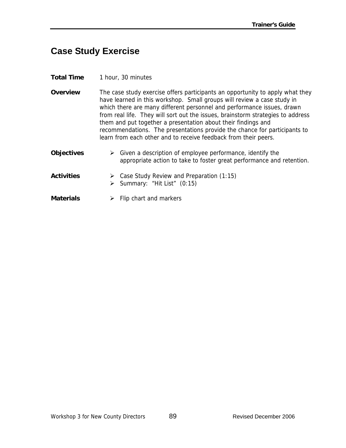### **Case Study Exercise**

- **Total Time** 1 hour, 30 minutes
- **Overview** The case study exercise offers participants an opportunity to apply what they have learned in this workshop. Small groups will review a case study in which there are many different personnel and performance issues, drawn from real life. They will sort out the issues, brainstorm strategies to address them and put together a presentation about their findings and recommendations. The presentations provide the chance for participants to learn from each other and to receive feedback from their peers.
- **Objectives** ¾ Given a description of employee performance, identify the appropriate action to take to foster great performance and retention.
- Activities > Case Study Review and Preparation (1:15) ¾ Summary: "Hit List" (0:15)
- **Materials**  $\rightarrow$  Flip chart and markers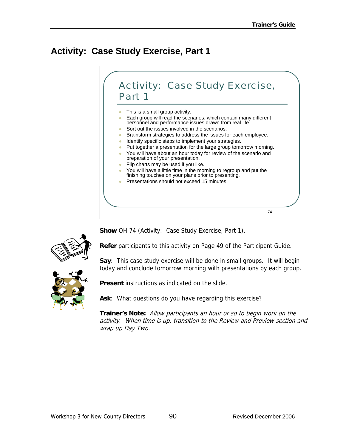# **Activity: Case Study Exercise, Part 1**



**Show** OH 74 (Activity: Case Study Exercise, Part 1).



**Refer** participants to this activity on Page 49 of the Participant Guide.

**Say**: This case study exercise will be done in small groups. It will begin today and conclude tomorrow morning with presentations by each group.



**Present** instructions as indicated on the slide.

**Ask**: What questions do you have regarding this exercise?

**Trainer's Note:** Allow participants an hour or so to begin work on the activity. When time is up, transition to the Review and Preview section and wrap up Day Two.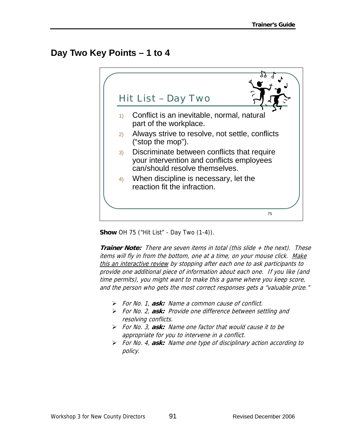## **Day Two Key Points – 1 to 4**



**Show** OH 75 ("Hit List" - Day Two (1-4)).

**Trainer Note:** There are seven items in total (this slide + the next). These items will fly in from the bottom, one at a time, on your mouse click. Make this an interactive review by stopping after each one to ask participants to provide one additional piece of information about each one. If you like (and time permits), you might want to make this a game where you keep score, and the person who gets the most correct responses gets a "valuable prize."

- ¾ For No. 1, **ask:** Name a common cause of conflict.
- ¾ For No. 2, **ask:** Provide one difference between settling and resolving conflicts.
- ¾ For No. 3, **ask:** Name one factor that would cause it to be appropriate for you to intervene in a conflict.
- ¾ For No. 4, **ask:** Name one type of disciplinary action according to policy.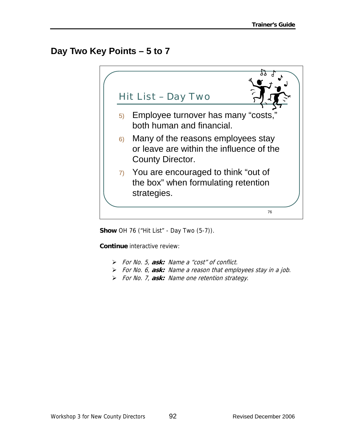## **Day Two Key Points – 5 to 7**



**Show** OH 76 ("Hit List" - Day Two (5-7)).

**Continue** interactive review:

- ¾ For No. 5, **ask:** Name a "cost" of conflict.
- ¾ For No. 6, **ask:** Name a reason that employees stay in a job.
- ¾ For No. 7, **ask:** Name one retention strategy.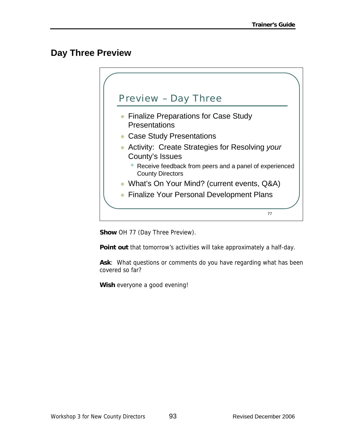### **Day Three Preview**



**Show** OH 77 (Day Three Preview).

**Point out** that tomorrow's activities will take approximately a half-day.

**Ask**: What questions or comments do you have regarding what has been covered so far?

**Wish** everyone a good evening!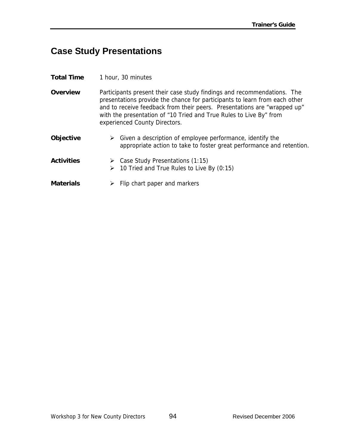# **Case Study Presentations**

| <b>Total Time</b> | 1 hour, 30 minutes                                                                                                                                                                                                                                                                                                                       |
|-------------------|------------------------------------------------------------------------------------------------------------------------------------------------------------------------------------------------------------------------------------------------------------------------------------------------------------------------------------------|
| <b>Overview</b>   | Participants present their case study findings and recommendations. The<br>presentations provide the chance for participants to learn from each other<br>and to receive feedback from their peers. Presentations are "wrapped up"<br>with the presentation of "10 Tried and True Rules to Live By" from<br>experienced County Directors. |
| Objective         | $\triangleright$ Given a description of employee performance, identify the<br>appropriate action to take to foster great performance and retention.                                                                                                                                                                                      |
| <b>Activities</b> | $\triangleright$ Case Study Presentations (1:15)<br>$\geq$ 10 Tried and True Rules to Live By (0:15)                                                                                                                                                                                                                                     |
| Materials         | Flip chart paper and markers                                                                                                                                                                                                                                                                                                             |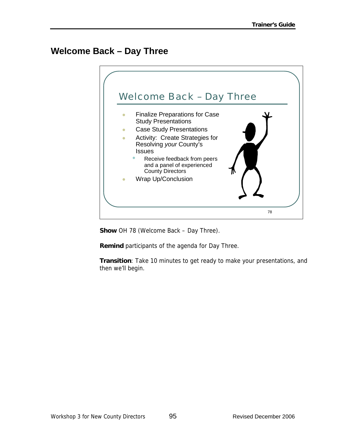## **Welcome Back – Day Three**



**Show** OH 78 (Welcome Back – Day Three).

**Remind** participants of the agenda for Day Three.

**Transition**: Take 10 minutes to get ready to make your presentations, and then we'll begin.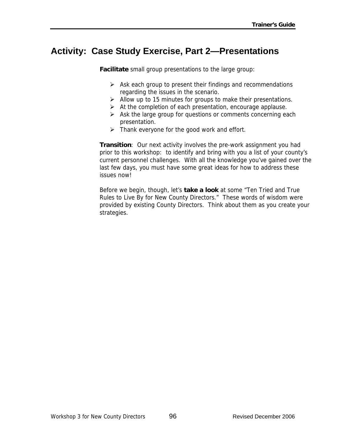#### **Activity: Case Study Exercise, Part 2—Presentations**

**Facilitate** small group presentations to the large group:

- $\triangleright$  Ask each group to present their findings and recommendations regarding the issues in the scenario.
- $\triangleright$  Allow up to 15 minutes for groups to make their presentations.
- $\triangleright$  At the completion of each presentation, encourage applause.
- $\triangleright$  Ask the large group for questions or comments concerning each presentation.
- $\triangleright$  Thank everyone for the good work and effort.

**Transition**: Our next activity involves the pre-work assignment you had prior to this workshop: to identify and bring with you a list of your county's current personnel challenges. With all the knowledge you've gained over the last few days, you must have some great ideas for how to address these issues now!

Before we begin, though, let's **take a look** at some "Ten Tried and True Rules to Live By for New County Directors." These words of wisdom were provided by existing County Directors. Think about them as you create your strategies.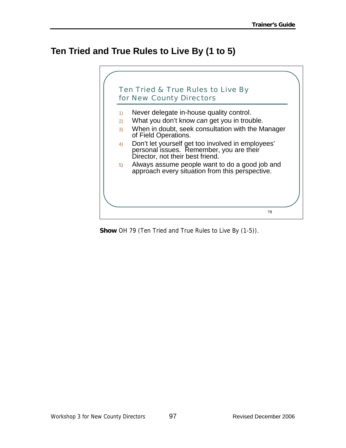## **Ten Tried and True Rules to Live By (1 to 5)**



**Show** OH 79 (Ten Tried and True Rules to Live By (1-5)).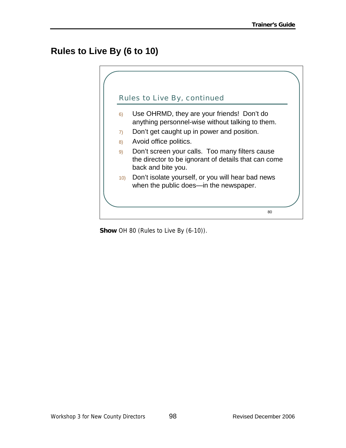# **Rules to Live By (6 to 10)**



**Show** OH 80 (Rules to Live By (6-10)).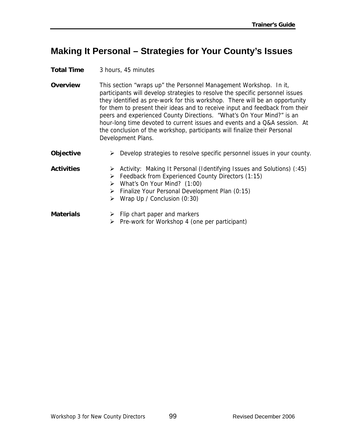## **Making It Personal – Strategies for Your County's Issues**

**Total Time** 3 hours, 45 minutes

- **Overview** This section "wraps up" the Personnel Management Workshop. In it, participants will develop strategies to resolve the specific personnel issues they identified as pre-work for this workshop. There will be an opportunity for them to present their ideas and to receive input and feedback from their peers and experienced County Directions. "What's On Your Mind?" is an hour-long time devoted to current issues and events and a Q&A session. At the conclusion of the workshop, participants will finalize their Personal Development Plans.
- **Objective** > Develop strategies to resolve specific personnel issues in your county.
- Activities > Activity: Making It Personal (Identifying Issues and Solutions) (:45)  $\triangleright$  Feedback from Experienced County Directors (1:15)  $\triangleright$  What's On Your Mind? (1:00)
	- $\triangleright$  Finalize Your Personal Development Plan (0:15)
	- $\triangleright$  Wrap Up / Conclusion (0:30)
- **Materials**  $\rightarrow$  Flip chart paper and markers  $\triangleright$  Pre-work for Workshop 4 (one per participant)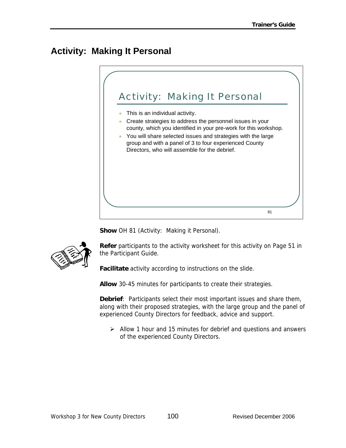# **Activity: Making It Personal**



**Show** OH 81 (Activity: Making it Personal).



**Refer** participants to the activity worksheet for this activity on Page 51 in the Participant Guide.

**Facilitate** activity according to instructions on the slide.

**Allow** 30-45 minutes for participants to create their strategies.

**Debrief**: Participants select their most important issues and share them, along with their proposed strategies, with the large group and the panel of experienced County Directors for feedback, advice and support.

 $\triangleright$  Allow 1 hour and 15 minutes for debrief and questions and answers of the experienced County Directors.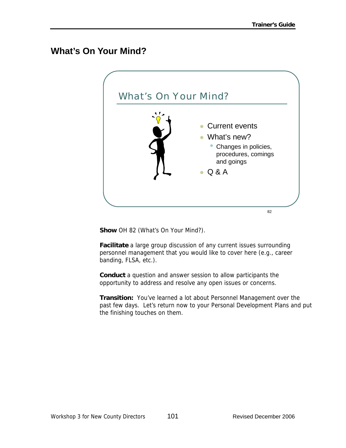## **What's On Your Mind?**



**Show** OH 82 (What's On Your Mind?).

**Facilitate** a large group discussion of any current issues surrounding personnel management that you would like to cover here (e.g., career banding, FLSA, etc.).

**Conduct** a question and answer session to allow participants the opportunity to address and resolve any open issues or concerns.

**Transition:** You've learned a lot about Personnel Management over the past few days. Let's return now to your Personal Development Plans and put the finishing touches on them.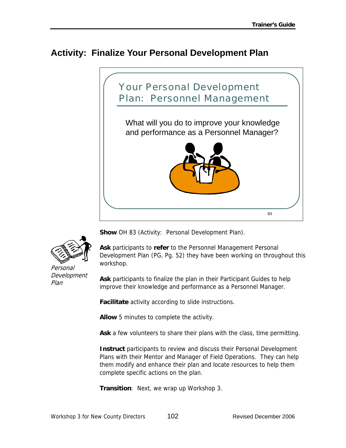#### **Activity: Finalize Your Personal Development Plan**





Personal Development Plan

**Show** OH 83 (Activity: Personal Development Plan).

**Ask** participants to **refer** to the Personnel Management Personal Development Plan (PG, Pg. 52) they have been working on throughout this workshop.

**Ask** participants to finalize the plan in their Participant Guides to help improve their knowledge and performance as a Personnel Manager.

**Facilitate** activity according to slide instructions.

**Allow** 5 minutes to complete the activity.

**Ask** a few volunteers to share their plans with the class, time permitting.

**Instruct** participants to review and discuss their Personal Development Plans with their Mentor and Manager of Field Operations. They can help them modify and enhance their plan and locate resources to help them complete specific actions on the plan.

**Transition**: Next, we wrap up Workshop 3.